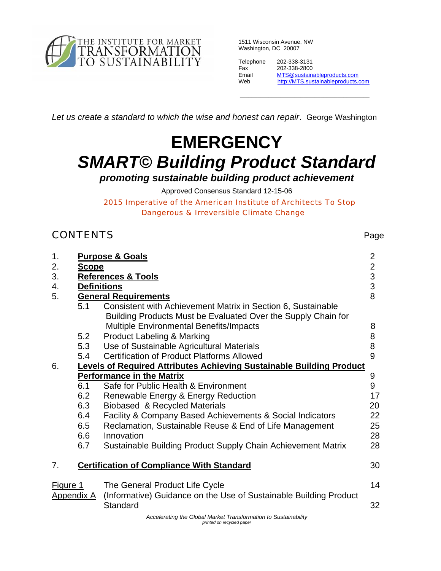

1511 Wisconsin Avenue, NW Washington, DC 20007

| Telephone | 202-338-3131                       |
|-----------|------------------------------------|
| Fax       | 202-338-2800                       |
| Email     | MTS@sustainableproducts.com        |
| Web       | http://MTS.sustainableproducts.com |
|           |                                    |

\_\_\_\_\_\_\_\_\_\_\_\_\_\_\_\_\_\_\_\_\_\_\_\_\_\_\_\_\_\_\_\_\_\_\_\_\_\_\_\_\_\_\_\_\_

*Let us create a standard to which the wise and honest can repair*. George Washington

# **EMERGENCY**  *SMART© Building Product Standard*

*promoting sustainable building product achievement* 

Approved Consensus Standard 12-15-06

*2015 Imperative of the American Institute of Architects To Stop Dangerous & Irreversible Climate Change* 

# **CONTENTS** Page

| 1.       |                   | <b>Purpose &amp; Goals</b>                                                  | $\overline{2}$                                 |  |  |  |
|----------|-------------------|-----------------------------------------------------------------------------|------------------------------------------------|--|--|--|
| 2.       | <b>Scope</b>      |                                                                             |                                                |  |  |  |
| 3.       |                   | <b>References &amp; Tools</b>                                               | $\begin{array}{c}\n 2 \\ 3 \\ 8\n \end{array}$ |  |  |  |
| 4.       |                   | <b>Definitions</b>                                                          |                                                |  |  |  |
| 5.       |                   | <b>General Requirements</b>                                                 |                                                |  |  |  |
|          | 5.1               | Consistent with Achievement Matrix in Section 6, Sustainable                |                                                |  |  |  |
|          |                   | Building Products Must be Evaluated Over the Supply Chain for               |                                                |  |  |  |
|          |                   | <b>Multiple Environmental Benefits/Impacts</b>                              | 8                                              |  |  |  |
|          | 5.2               | <b>Product Labeling &amp; Marking</b>                                       | 8                                              |  |  |  |
|          | 5.3               | Use of Sustainable Agricultural Materials                                   | 8                                              |  |  |  |
|          | 5.4               | <b>Certification of Product Platforms Allowed</b>                           | 9                                              |  |  |  |
| 6.       |                   | <b>Levels of Required Attributes Achieving Sustainable Building Product</b> |                                                |  |  |  |
|          |                   | <b>Performance in the Matrix</b>                                            | 9                                              |  |  |  |
|          | 6.1               | Safe for Public Health & Environment                                        | 9                                              |  |  |  |
|          | 6.2               | Renewable Energy & Energy Reduction                                         | 17                                             |  |  |  |
|          | 6.3               | Biobased & Recycled Materials                                               | 20                                             |  |  |  |
|          | 6.4               | Facility & Company Based Achievements & Social Indicators                   | 22                                             |  |  |  |
|          | 6.5               | Reclamation, Sustainable Reuse & End of Life Management                     | 25                                             |  |  |  |
|          | 6.6               | Innovation                                                                  | 28                                             |  |  |  |
|          | 6.7               | Sustainable Building Product Supply Chain Achievement Matrix                | 28                                             |  |  |  |
| 7.       |                   | <b>Certification of Compliance With Standard</b>                            | 30                                             |  |  |  |
|          |                   |                                                                             |                                                |  |  |  |
| Figure 1 |                   | The General Product Life Cycle                                              | 14                                             |  |  |  |
|          | <b>Appendix A</b> | (Informative) Guidance on the Use of Sustainable Building Product           |                                                |  |  |  |
|          |                   | Standard                                                                    | 32                                             |  |  |  |
|          |                   | Accelerating the Global Market Transformation to Sustainability             |                                                |  |  |  |

*printed on recycled paper*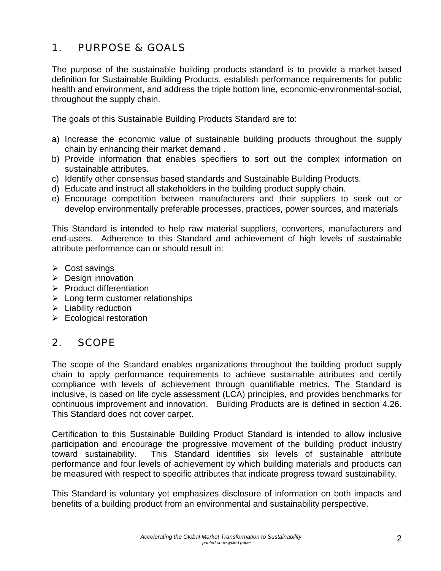# 1. PURPOSE & GOALS

The purpose of the sustainable building products standard is to provide a market-based definition for Sustainable Building Products, establish performance requirements for public health and environment, and address the triple bottom line, economic-environmental-social, throughout the supply chain.

The goals of this Sustainable Building Products Standard are to:

- a) Increase the economic value of sustainable building products throughout the supply chain by enhancing their market demand .
- b) Provide information that enables specifiers to sort out the complex information on sustainable attributes.
- c) Identify other consensus based standards and Sustainable Building Products.
- d) Educate and instruct all stakeholders in the building product supply chain.
- e) Encourage competition between manufacturers and their suppliers to seek out or develop environmentally preferable processes, practices, power sources, and materials

This Standard is intended to help raw material suppliers, converters, manufacturers and end-users. Adherence to this Standard and achievement of high levels of sustainable attribute performance can or should result in:

- $\triangleright$  Cost savings
- $\triangleright$  Design innovation
- $\triangleright$  Product differentiation
- $\triangleright$  Long term customer relationships
- $\blacktriangleright$  Liability reduction
- $\triangleright$  Ecological restoration

# 2. SCOPE

The scope of the Standard enables organizations throughout the building product supply chain to apply performance requirements to achieve sustainable attributes and certify compliance with levels of achievement through quantifiable metrics. The Standard is inclusive, is based on life cycle assessment (LCA) principles, and provides benchmarks for continuous improvement and innovation. Building Products are is defined in section 4.26. This Standard does not cover carpet.

Certification to this Sustainable Building Product Standard is intended to allow inclusive participation and encourage the progressive movement of the building product industry toward sustainability. This Standard identifies six levels of sustainable attribute performance and four levels of achievement by which building materials and products can be measured with respect to specific attributes that indicate progress toward sustainability.

This Standard is voluntary yet emphasizes disclosure of information on both impacts and benefits of a building product from an environmental and sustainability perspective.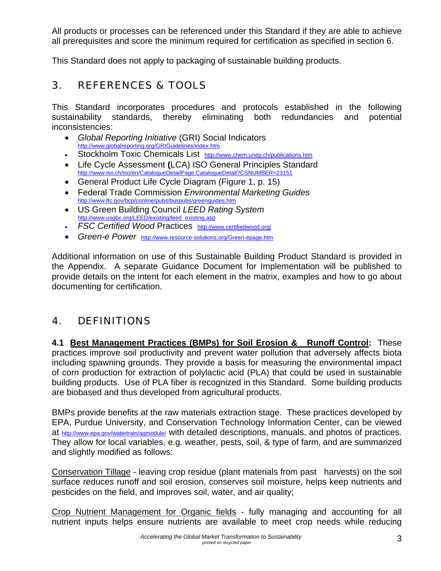All products or processes can be referenced under this Standard if they are able to achieve all prerequisites and score the minimum required for certification as specified in section 6.

This Standard does not apply to packaging of sustainable building products.

# 3. REFERENCES & TOOLS

This Standard incorporates procedures and protocols established in the following sustainability standards, thereby eliminating both redundancies and potential inconsistencies:

- *Global Reporting Initiative* (GRI) Social Indicators http://www.globalreporting.org/GRIGuidelines/index.htm
- Stockholm Toxic Chemicals List http://www.chem.unep.ch/publications.htm
- Life Cycle Assessment **(**LCA) ISO General Principles Standard http://www.iso.ch/iso/en/CatalogueDetailPage.CatalogueDetail?CSNUMBER=23151
- General Product Life Cycle Diagram (Figure 1, p. 15)
- Federal Trade Commission *Environmental Marketing Guides*<br>http://www.ftc.gov/bcp/conline/pubs/buspubs/greenguides.htm
- US Green Building Council *LEED Rating System* http://www.usgbc.org/LEED/existing/leed\_existing.asp
- *FSC Certified Wood* Practices http://www.certifiedwood.org/
- *Green-e Power* http://www.resource-solutions.org/Green-epage.htm

Additional information on use of this Sustainable Building Product Standard is provided in the Appendix. A separate Guidance Document for Implementation will be published to provide details on the intent for each element in the matrix, examples and how to go about documenting for certification.

# 4. DEFINITIONS

**4.1 Best Management Practices (BMPs) for Soil Erosion & Runoff Control:** These practices improve soil productivity and prevent water pollution that adversely affects biota including spawning grounds. They provide a basis for measuring the environmental impact of corn production for extraction of polylactic acid (PLA) that could be used in sustainable building products. Use of PLA fiber is recognized in this Standard. Some building products are biobased and thus developed from agricultural products.

BMPs provide benefits at the raw materials extraction stage. These practices developed by EPA, Purdue University, and Conservation Technology Information Center, can be viewed at http://www.epa.gov/watertrain/agmodule/ with detailed descriptions, manuals, and photos of practices. They allow for local variables, e.g. weather, pests, soil, & type of farm, and are summarized and slightly modified as follows:

Conservation Tillage - leaving crop residue (plant materials from past harvests) on the soil surface reduces runoff and soil erosion, conserves soil moisture, helps keep nutrients and pesticides on the field, and improves soil, water, and air quality;

Crop Nutrient Management for Organic fields - fully managing and accounting for all nutrient inputs helps ensure nutrients are available to meet crop needs while reducing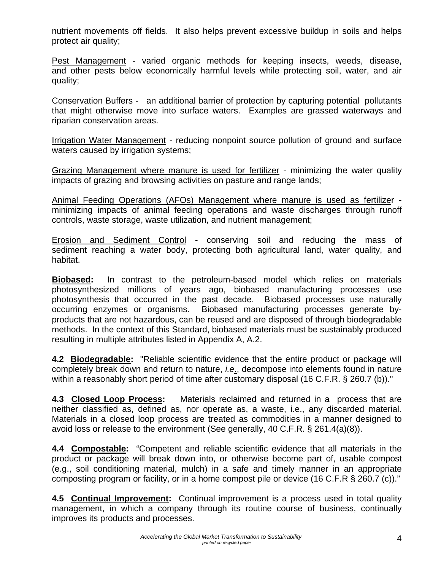nutrient movements off fields. It also helps prevent excessive buildup in soils and helps protect air quality;

Pest Management - varied organic methods for keeping insects, weeds, disease, and other pests below economically harmful levels while protecting soil, water, and air quality;

Conservation Buffers - an additional barrier of protection by capturing potential pollutants that might otherwise move into surface waters. Examples are grassed waterways and riparian conservation areas.

Irrigation Water Management - reducing nonpoint source pollution of ground and surface waters caused by irrigation systems;

Grazing Management where manure is used for fertilizer - minimizing the water quality impacts of grazing and browsing activities on pasture and range lands;

Animal Feeding Operations (AFOs) Management where manure is used as fertilizer minimizing impacts of animal feeding operations and waste discharges through runoff controls, waste storage, waste utilization, and nutrient management;

Erosion and Sediment Control - conserving soil and reducing the mass of sediment reaching a water body, protecting both agricultural land, water quality, and habitat.

**Biobased:** In contrast to the petroleum-based model which relies on materials photosynthesized millions of years ago, biobased manufacturing processes use photosynthesis that occurred in the past decade. Biobased processes use naturally occurring enzymes or organisms. Biobased manufacturing processes generate byproducts that are not hazardous, can be reused and are disposed of through biodegradable methods. In the context of this Standard, biobased materials must be sustainably produced resulting in multiple attributes listed in Appendix A, A.2.

**4.2 Biodegradable:** "Reliable scientific evidence that the entire product or package will completely break down and return to nature, *i.e*., decompose into elements found in nature within a reasonably short period of time after customary disposal (16 C.F.R. § 260.7 (b))."

**4.3 Closed Loop Process:** Materials reclaimed and returned in a process that are neither classified as, defined as, nor operate as, a waste, i.e., any discarded material. Materials in a closed loop process are treated as commodities in a manner designed to avoid loss or release to the environment (See generally, 40 C.F.R. § 261.4(a)(8)).

**4.4 Compostable:** "Competent and reliable scientific evidence that all materials in the product or package will break down into, or otherwise become part of, usable compost (e.g., soil conditioning material, mulch) in a safe and timely manner in an appropriate composting program or facility, or in a home compost pile or device (16 C.F.R § 260.7 (c))."

**4.5 Continual Improvement:** Continual improvement is a process used in total quality management, in which a company through its routine course of business, continually improves its products and processes.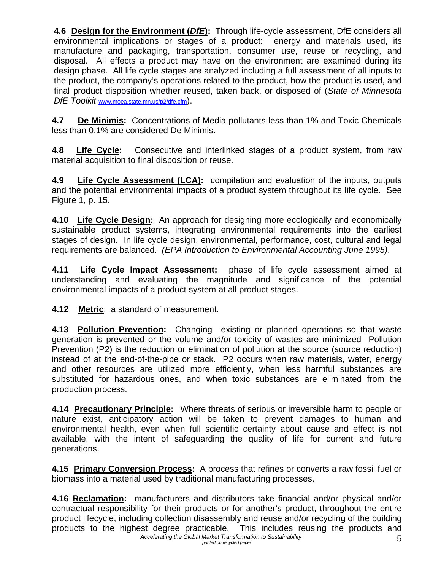**4.6 Design for the Environment (DfE):** Through life-cycle assessment, DfE considers all environmental implications or stages of a product: energy and materials used, its manufacture and packaging, transportation, consumer use, reuse or recycling, and disposal. All effects a product may have on the environment are examined during its design phase. All life cycle stages are analyzed including a full assessment of all inputs to the product, the company's operations related to the product, how the product is used, and final product disposition whether reused, taken back, or disposed of (*State of Minnesota DfE Toolkit* www.moea.state.mn.us/p2/dfe.cfm).

**4.7 De Minimis:** Concentrations of Media pollutants less than 1% and Toxic Chemicals less than 0.1% are considered De Minimis.

**4***.***8****Life Cycle:** Consecutive and interlinked stages of a product system, from raw material acquisition to final disposition or reuse.

**4.9 Life Cycle Assessment (LCA):** compilation and evaluation of the inputs, outputs and the potential environmental impacts of a product system throughout its life cycle. See Figure 1, p. 15.

**4.10 Life Cycle Design:** An approach for designing more ecologically and economically sustainable product systems, integrating environmental requirements into the earliest stages of design. In life cycle design, environmental, performance, cost, cultural and legal requirements are balanced. *(EPA Introduction to Environmental Accounting June 1995)*.

**4.11 Life Cycle Impact Assessment:** phase of life cycle assessment aimed at understanding and evaluating the magnitude and significance of the potential environmental impacts of a product system at all product stages.

**4.12 Metric**: a standard of measurement.

**4.13 Pollution Prevention:** Changing existing or planned operations so that waste generation is prevented or the volume and/or toxicity of wastes are minimized Pollution Prevention (P2) is the reduction or elimination of pollution at the source (source reduction) instead of at the end-of-the-pipe or stack. P2 occurs when raw materials, water, energy and other resources are utilized more efficiently, when less harmful substances are substituted for hazardous ones, and when toxic substances are eliminated from the production process.

**4.14 Precautionary Principle:** Where threats of serious or irreversible harm to people or nature exist, anticipatory action will be taken to prevent damages to human and environmental health, even when full scientific certainty about cause and effect is not available, with the intent of safeguarding the quality of life for current and future generations.

**4.15 Primary Conversion Process:** A process that refines or converts a raw fossil fuel or biomass into a material used by traditional manufacturing processes.

*Accelerating the Global Market Transformation to Sustainability printed on recycled paper* 5 **4.16 Reclamation:** manufacturers and distributors take financial and/or physical and/or contractual responsibility for their products or for another's product, throughout the entire product lifecycle, including collection disassembly and reuse and/or recycling of the building products to the highest degree practicable. This includes reusing the products and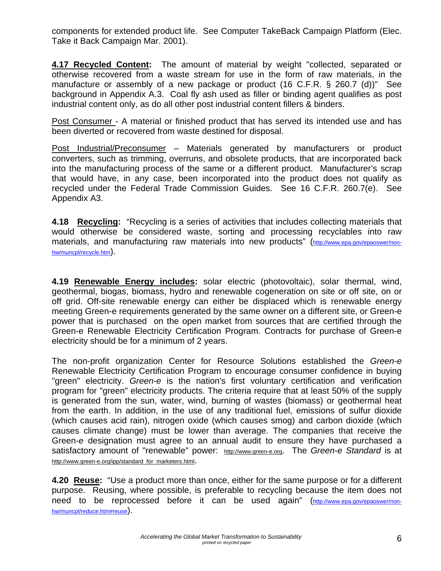components for extended product life. See Computer TakeBack Campaign Platform (Elec. Take it Back Campaign Mar. 2001).

**4.17 Recycled Content:** The amount of material by weight "collected, separated or otherwise recovered from a waste stream for use in the form of raw materials, in the manufacture or assembly of a new package or product (16 C.F.R. § 260.7 (d))" See background in Appendix A.3. Coal fly ash used as filler or binding agent qualifies as post industrial content only, as do all other post industrial content fillers & binders.

Post Consumer - A material or finished product that has served its intended use and has been diverted or recovered from waste destined for disposal.

Post Industrial/Preconsumer – Materials generated by manufacturers or product converters, such as trimming, overruns, and obsolete products, that are incorporated back into the manufacturing process of the same or a different product. Manufacturer's scrap that would have, in any case, been incorporated into the product does not qualify as recycled under the Federal Trade Commission Guides. See 16 C.F.R. 260.7(e). See Appendix A3.

**4.18 Recycling:** "Recycling is a series of activities that includes collecting materials that would otherwise be considered waste, sorting and processing recyclables into raw materials, and manufacturing raw materials into new products" (http://www.epa.gov/epaoswer/nonhw/muncpl/recycle.htm).

**4.19 Renewable Energy includes:** solar electric (photovoltaic), solar thermal, wind, geothermal, biogas, biomass, hydro and renewable cogeneration on site or off site, on or off grid. Off-site renewable energy can either be displaced which is renewable energy meeting Green-e requirements generated by the same owner on a different site, or Green-e power that is purchased on the open market from sources that are certified through the Green-e Renewable Electricity Certification Program. Contracts for purchase of Green-e electricity should be for a minimum of 2 years.

The non-profit organization Center for Resource Solutions established the *Green-e* Renewable Electricity Certification Program to encourage consumer confidence in buying "green" electricity. *Green-e* is the nation's first voluntary certification and verification program for "green" electricity products. The criteria require that at least 50% of the supply is generated from the sun, water, wind, burning of wastes (biomass) or geothermal heat from the earth. In addition, in the use of any traditional fuel, emissions of sulfur dioxide (which causes acid rain), nitrogen oxide (which causes smog) and carbon dioxide (which causes climate change) must be lower than average. The companies that receive the Green-*e* designation must agree to an annual audit to ensure they have purchased a satisfactory amount of "renewable" power: http://www.green-e.org. The *Green-e Standard* is at http://www.green-e.org/ipp/standard\_for\_marketers.html.

**4.20 Reuse:** "Use a product more than once, either for the same purpose or for a different purpose. Reusing, where possible, is preferable to recycling because the item does not need to be reprocessed before it can be used again" (http://www.epa.gov/epaoswer/nonhw/muncpl/reduce.htm#reuse).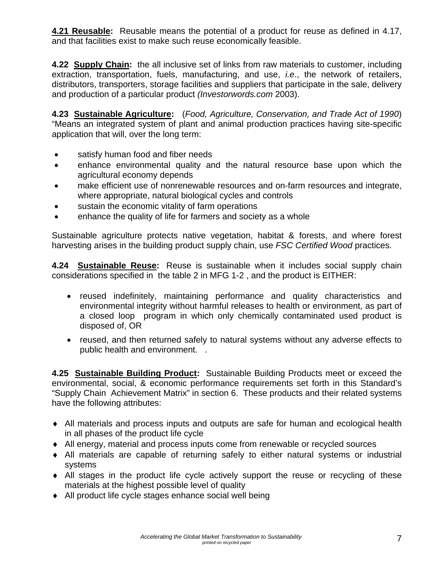**4.21 Reusable:** Reusable means the potential of a product for reuse as defined in 4.17, and that facilities exist to make such reuse economically feasible.

**4.22 Supply Chain:** the all inclusive set of links from raw materials to customer, including extraction, transportation, fuels, manufacturing, and use, *i.e*., the network of retailers, distributors, transporters, storage facilities and suppliers that participate in the sale, delivery and production of a particular product *(Investorwords.com* 2003).

**4.23 Sustainable Agriculture:** (*Food, Agriculture, Conservation, and Trade Act of 1990*) "Means an integrated system of plant and animal production practices having site-specific application that will, over the long term:

- satisfy human food and fiber needs
- enhance environmental quality and the natural resource base upon which the agricultural economy depends
- make efficient use of nonrenewable resources and on-farm resources and integrate, where appropriate, natural biological cycles and controls
- sustain the economic vitality of farm operations
- enhance the quality of life for farmers and society as a whole

Sustainable agriculture protects native vegetation, habitat & forests, and where forest harvesting arises in the building product supply chain, use *FSC Certified Wood* practices.

**4.24 Sustainable Reuse:** Reuse is sustainable when it includes social supply chain considerations specified in the table 2 in MFG 1-2 , and the product is EITHER:

- reused indefinitely, maintaining performance and quality characteristics and environmental integrity without harmful releases to health or environment, as part of a closed loop program in which only chemically contaminated used product is disposed of, OR
- reused, and then returned safely to natural systems without any adverse effects to public health and environment. .

**4.25 Sustainable Building Product:** Sustainable Building Products meet or exceed the environmental, social, & economic performance requirements set forth in this Standard's "Supply Chain Achievement Matrix" in section 6. These products and their related systems have the following attributes:

- ♦ All materials and process inputs and outputs are safe for human and ecological health in all phases of the product life cycle
- ♦ All energy, material and process inputs come from renewable or recycled sources
- ♦ All materials are capable of returning safely to either natural systems or industrial systems
- ♦ All stages in the product life cycle actively support the reuse or recycling of these materials at the highest possible level of quality
- ♦ All product life cycle stages enhance social well being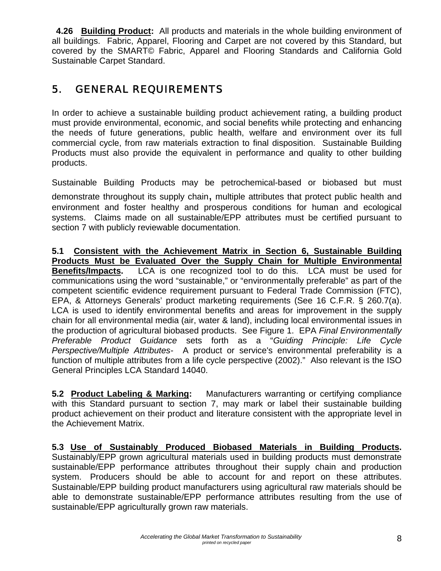**4.26 Building Product:** All products and materials in the whole building environment of all buildings. Fabric, Apparel, Flooring and Carpet are not covered by this Standard, but covered by the SMART© Fabric, Apparel and Flooring Standards and California Gold Sustainable Carpet Standard.

# 5. GENERAL REQUIREMENTS

In order to achieve a sustainable building product achievement rating, a building product must provide environmental, economic, and social benefits while protecting and enhancing the needs of future generations, public health, welfare and environment over its full commercial cycle, from raw materials extraction to final disposition. Sustainable Building Products must also provide the equivalent in performance and quality to other building products.

Sustainable Building Products may be petrochemical-based or biobased but must demonstrate throughout its supply chain, multiple attributes that protect public health and environment and foster healthy and prosperous conditions for human and ecological systems. Claims made on all sustainable/EPP attributes must be certified pursuant to section 7 with publicly reviewable documentation.

**5.1 Consistent with the Achievement Matrix in Section 6, Sustainable Building Products Must be Evaluated Over the Supply Chain for Multiple Environmental Benefits/Impacts.** LCA is one recognized tool to do this. LCA must be used for communications using the word "sustainable," or "environmentally preferable" as part of the competent scientific evidence requirement pursuant to Federal Trade Commission (FTC), EPA, & Attorneys Generals' product marketing requirements (See 16 C.F.R. § 260.7(a). LCA is used to identify environmental benefits and areas for improvement in the supply chain for all environmental media (air, water & land), including local environmental issues in the production of agricultural biobased products.See Figure 1. EPA *Final Environmentally Preferable Product Guidance* sets forth as a "*Guiding Principle: Life Cycle Perspective/Multiple Attributes-* A product or service's environmental preferability is a function of multiple attributes from a life cycle perspective (2002)." Also relevant is the ISO General Principles LCA Standard 14040.

**5.2 Product Labeling & Marking:** Manufacturers warranting or certifying compliance with this Standard pursuant to section 7, may mark or label their sustainable building product achievement on their product and literature consistent with the appropriate level in the Achievement Matrix.

**5.3 Use of Sustainably Produced Biobased Materials in Building Products.**  Sustainably/EPP grown agricultural materials used in building products must demonstrate sustainable/EPP performance attributes throughout their supply chain and production system. Producers should be able to account for and report on these attributes. Sustainable/EPP building product manufacturers using agricultural raw materials should be able to demonstrate sustainable/EPP performance attributes resulting from the use of sustainable/EPP agriculturally grown raw materials.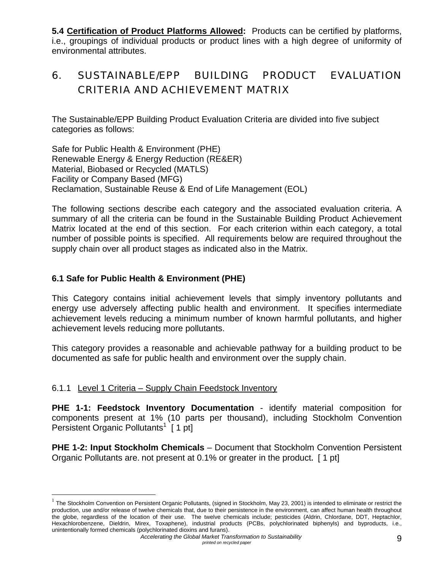**5.4 Certification of Product Platforms Allowed:** Products can be certified by platforms, i.e., groupings of individual products or product lines with a high degree of uniformity of environmental attributes.

# 6. SUSTAINABLE/EPP BUILDING PRODUCT EVALUATION CRITERIA AND ACHIEVEMENT MATRIX

The Sustainable/EPP Building Product Evaluation Criteria are divided into five subject categories as follows:

Safe for Public Health & Environment (PHE) Renewable Energy & Energy Reduction (RE&ER) Material, Biobased or Recycled (MATLS) Facility or Company Based (MFG) Reclamation, Sustainable Reuse & End of Life Management (EOL)

The following sections describe each category and the associated evaluation criteria. A summary of all the criteria can be found in the Sustainable Building Product Achievement Matrix located at the end of this section. For each criterion within each category, a total number of possible points is specified. All requirements below are required throughout the supply chain over all product stages as indicated also in the Matrix.

#### **6.1 Safe for Public Health & Environment (PHE)**

This Category contains initial achievement levels that simply inventory pollutants and energy use adversely affecting public health and environment. It specifies intermediate achievement levels reducing a minimum number of known harmful pollutants, and higher achievement levels reducing more pollutants.

This category provides a reasonable and achievable pathway for a building product to be documented as safe for public health and environment over the supply chain.

#### 6.1.1 Level 1 Criteria – Supply Chain Feedstock Inventory

 $\overline{a}$ 

**PHE 1-1: Feedstock Inventory Documentation** - identify material composition for components present at 1% (10 parts per thousand), including Stockholm Convention Persistent Organic Pollutants<sup>1</sup> [ 1 pt]

**PHE 1-2: Input Stockholm Chemicals** – Document that Stockholm Convention Persistent Organic Pollutants are. not present at 0.1% or greater in the product**.** [ 1 pt]

 $1$  The Stockholm Convention on Persistent Organic Pollutants, (signed in Stockholm, May 23, 2001) is intended to eliminate or restrict the production, use and/or release of twelve chemicals that, due to their persistence in the environment, can affect human health throughout the globe, regardless of the location of their use. The twelve chemicals include; pesticides (Aldrin, Chlordane, DDT, Heptachlor, Hexachlorobenzene, Dieldrin, Mirex, Toxaphene), industrial products (PCBs, polychlorinated biphenyls) and byproducts, i.e., unintentionally formed chemicals (polychlorinated dioxins and furans).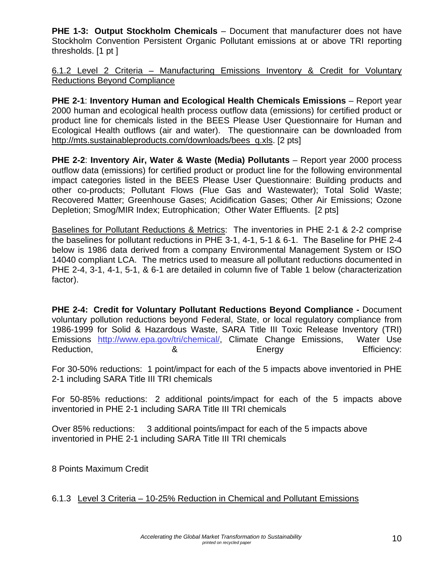**PHE 1-3: Output Stockholm Chemicals** – Document that manufacturer does not have Stockholm Convention Persistent Organic Pollutant emissions at or above TRI reporting thresholds. [1 pt ]

6.1.2 Level 2 Criteria – Manufacturing Emissions Inventory & Credit for Voluntary Reductions Beyond Compliance

**PHE 2-1**: **Inventory Human and Ecological Health Chemicals Emissions** – Report year 2000 human and ecological health process outflow data (emissions) for certified product or product line for chemicals listed in the BEES Please User Questionnaire for Human and Ecological Health outflows (air and water). The questionnaire can be downloaded from http://mts.sustainableproducts.com/downloads/bees\_q.xls. [2 pts]

**PHE 2-2**: **Inventory Air, Water & Waste (Media) Pollutants** – Report year 2000 process outflow data (emissions) for certified product or product line for the following environmental impact categories listed in the BEES Please User Questionnaire: Building products and other co-products; Pollutant Flows (Flue Gas and Wastewater); Total Solid Waste; Recovered Matter; Greenhouse Gases; Acidification Gases; Other Air Emissions; Ozone Depletion; Smog/MIR Index; Eutrophication; Other Water Effluents. [2 pts]

Baselines for Pollutant Reductions & Metrics: The inventories in PHE 2-1 & 2-2 comprise the baselines for pollutant reductions in PHE 3-1, 4-1, 5-1 & 6-1. The Baseline for PHE 2-4 below is 1986 data derived from a company Environmental Management System or ISO 14040 compliant LCA. The metrics used to measure all pollutant reductions documented in PHE 2-4, 3-1, 4-1, 5-1, & 6-1 are detailed in column five of Table 1 below (characterization factor).

**PHE 2-4: Credit for Voluntary Pollutant Reductions Beyond Compliance -** Document voluntary pollution reductions beyond Federal, State, or local regulatory compliance from 1986-1999 for Solid & Hazardous Waste, SARA Title III Toxic Release Inventory (TRI) Emissions http://www.epa.gov/tri/chemical/, Climate Change Emissions, Water Use Reduction, 2008 Reduction, 2008 Reduction, 2008 Reduction, 2008 Reduction, 2008 Reduction, 2008 Reduction CO

For 30-50% reductions: 1 point/impact for each of the 5 impacts above inventoried in PHE 2-1 including SARA Title III TRI chemicals

For 50-85% reductions: 2 additional points/impact for each of the 5 impacts above inventoried in PHE 2-1 including SARA Title III TRI chemicals

Over 85% reductions: 3 additional points/impact for each of the 5 impacts above inventoried in PHE 2-1 including SARA Title III TRI chemicals

8 Points Maximum Credit

6.1.3 Level 3 Criteria – 10-25% Reduction in Chemical and Pollutant Emissions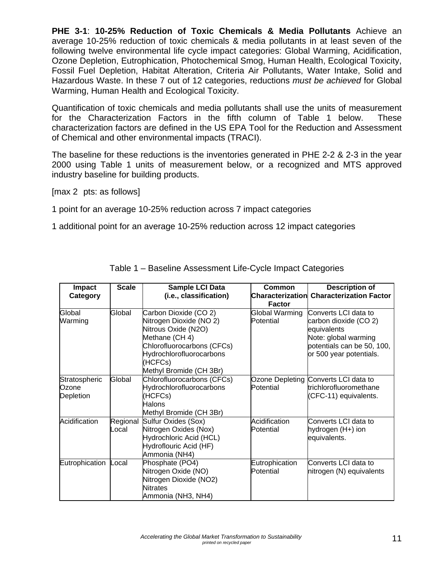**PHE 3-1**: **10-25% Reduction of Toxic Chemicals & Media Pollutants** Achieve an average 10-25% reduction of toxic chemicals & media pollutants in at least seven of the following twelve environmental life cycle impact categories: Global Warming, Acidification, Ozone Depletion, Eutrophication, Photochemical Smog, Human Health, Ecological Toxicity, Fossil Fuel Depletion, Habitat Alteration, Criteria Air Pollutants, Water Intake, Solid and Hazardous Waste. In these 7 out of 12 categories, reductions *must be achieved* for Global Warming, Human Health and Ecological Toxicity.

Quantification of toxic chemicals and media pollutants shall use the units of measurement for the Characterization Factors in the fifth column of Table 1 below. These characterization factors are defined in the US EPA Tool for the Reduction and Assessment of Chemical and other environmental impacts (TRACI).

The baseline for these reductions is the inventories generated in PHE 2-2 & 2-3 in the year 2000 using Table 1 units of measurement below, or a recognized and MTS approved industry baseline for building products.

[max 2 pts: as follows]

1 point for an average 10-25% reduction across 7 impact categories

1 additional point for an average 10-25% reduction across 12 impact categories

| Impact<br>Category                  | <b>Scale</b>      | Sample LCI Data<br>(i.e., classification)                                                                                                                                                 | Common<br><b>Factor</b>     | <b>Description of</b><br><b>Characterization Characterization Factor</b>                                                                      |
|-------------------------------------|-------------------|-------------------------------------------------------------------------------------------------------------------------------------------------------------------------------------------|-----------------------------|-----------------------------------------------------------------------------------------------------------------------------------------------|
| Global<br>Warming                   | Global            | Carbon Dioxide (CO 2)<br>Nitrogen Dioxide (NO 2)<br>Nitrous Oxide (N2O)<br>Methane (CH 4)<br>Chlorofluorocarbons (CFCs)<br>Hydrochlorofluorocarbons<br>(HCFCs)<br>Methyl Bromide (CH 3Br) | Global Warming<br>Potential | Converts LCI data to<br>carbon dioxide (CO 2)<br>equivalents<br>Note: global warming<br>potentials can be 50, 100,<br>or 500 year potentials. |
| Stratospheric<br>Ozone<br>Depletion | Global            | Chlorofluorocarbons (CFCs)<br>Hydrochlorofluorocarbons<br>(HCFCs)<br>Halons<br>Methyl Bromide (CH 3Br)                                                                                    | Potential                   | Ozone Depleting Converts LCI data to<br>trichlorofluoromethane<br>(CFC-11) equivalents.                                                       |
| Acidification                       | Regional<br>Local | Sulfur Oxides (Sox)<br>Nitrogen Oxides (Nox)<br>Hydrochloric Acid (HCL)<br>Hydroflouric Acid (HF)<br>Ammonia (NH4)                                                                        | Acidification<br>Potential  | Converts LCI data to<br>hydrogen (H+) ion<br>equivalents.                                                                                     |
| Eutrophication                      | Local             | Phosphate (PO4)<br>Nitrogen Oxide (NO)<br>Nitrogen Dioxide (NO2)<br><b>Nitrates</b><br>Ammonia (NH3, NH4)                                                                                 | Eutrophication<br>Potential | Converts LCI data to<br>nitrogen (N) equivalents                                                                                              |

Table 1 – Baseline Assessment Life-Cycle Impact Categories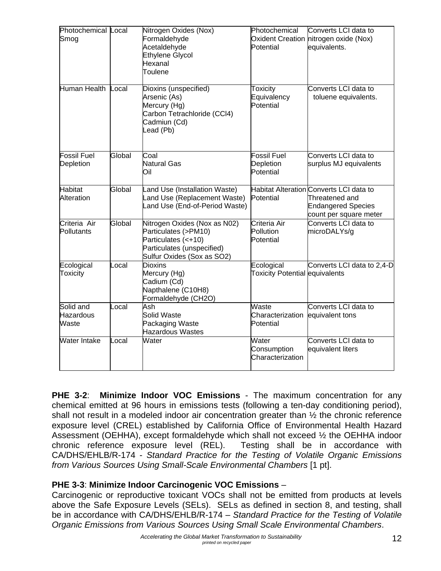| Photochemical Local<br>Smog            |        | Nitrogen Oxides (Nox)<br>Formaldehyde<br>Acetaldehyde<br><b>Ethylene Glycol</b><br>Hexanal<br>Toulene                                   | Photochemical<br>Potential                   | Converts LCI data to<br>Oxident Creation nitrogen oxide (Nox)<br>equivalents.                                    |
|----------------------------------------|--------|-----------------------------------------------------------------------------------------------------------------------------------------|----------------------------------------------|------------------------------------------------------------------------------------------------------------------|
| Human Health                           | Local  | Dioxins (unspecified)<br>Arsenic (As)<br>Mercury (Hg)<br>Carbon Tetrachloride (CCl4)<br>Cadmiun (Cd)<br>Lead (Pb)                       | <b>Toxicity</b><br>Equivalency<br>Potential  | Converts LCI data to<br>toluene equivalents.                                                                     |
| <b>Fossil Fuel</b><br>Depletion        | Global | Coal<br><b>Natural Gas</b><br>Oil                                                                                                       | Fossil Fuel<br>Depletion<br>Potential        | Converts LCI data to<br>surplus MJ equivalents                                                                   |
| <b>Habitat</b><br>Alteration           | Global | Land Use (Installation Waste)<br>Land Use (Replacement Waste)<br>Land Use (End-of-Period Waste)                                         | Potential                                    | Habitat Alteration Converts LCI data to<br>Threatened and<br><b>Endangered Species</b><br>count per square meter |
| Criteria Air<br>Pollutants             | Global | Nitrogen Oxides (Nox as N02)<br>Particulates (>PM10)<br>Particulates (<+10)<br>Particulates (unspecified)<br>Sulfur Oxides (Sox as SO2) | Criteria Air<br>Pollution<br>Potential       | Converts LCI data to<br>microDALYs/g                                                                             |
| Ecological<br>Toxicity                 | Local  | <b>Dioxins</b><br>Mercury (Hg)<br>Cadium (Cd)<br>Napthalene (C10H8)<br>Formaldehyde (CH2O)                                              | Ecological<br>Toxicity Potential equivalents | Converts LCI data to 2,4-D                                                                                       |
| Solid and<br><b>Hazardous</b><br>Waste | Local  | Ash<br><b>Solid Waste</b><br>Packaging Waste<br><b>Hazardous Wastes</b>                                                                 | Waste<br>Characterization<br>Potential       | Converts LCI data to<br>equivalent tons                                                                          |
| Water Intake                           | Local  | Water                                                                                                                                   | Water<br>Consumption<br>Characterization     | Converts LCI data to<br>equivalent liters                                                                        |

**PHE 3-2**: **Minimize Indoor VOC Emissions** - The maximum concentration for any chemical emitted at 96 hours in emissions tests (following a ten-day conditioning period), shall not result in a modeled indoor air concentration greater than ½ the chronic reference exposure level (CREL) established by California Office of Environmental Health Hazard Assessment (OEHHA), except formaldehyde which shall not exceed ½ the OEHHA indoor chronic reference exposure level (REL). Testing shall be in accordance with CA/DHS/EHLB/R-174 - *Standard Practice for the Testing of Volatile Organic Emissions from Various Sources Using Small-Scale Environmental Chambers* [1 pt].

## **PHE 3-3**: **Minimize Indoor Carcinogenic VOC Emissions** –

Carcinogenic or reproductive toxicant VOCs shall not be emitted from products at levels above the Safe Exposure Levels (SELs). SELs as defined in section 8, and testing, shall be in accordance with CA/DHS/EHLB/R-174 – *Standard Practice for the Testing of Volatile Organic Emissions from Various Sources Using Small Scale Environmental Chambers*.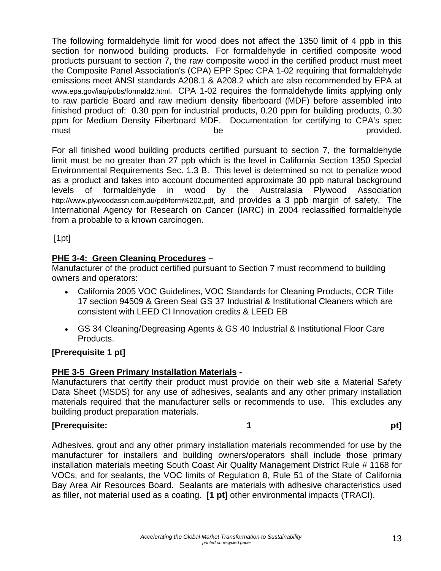The following formaldehyde limit for wood does not affect the 1350 limit of 4 ppb in this section for nonwood building products. For formaldehyde in certified composite wood products pursuant to section 7, the raw composite wood in the certified product must meet the Composite Panel Association's (CPA) EPP Spec CPA 1-02 requiring that formaldehyde emissions meet ANSI standards A208.1 & A208.2 which are also recommended by EPA at www.epa.gov/iaq/pubs/formald2.html. CPA 1-02 requires the formaldehyde limits applying only to raw particle Board and raw medium density fiberboard (MDF) before assembled into finished product of: 0.30 ppm for industrial products, 0.20 ppm for building products, 0.30 ppm for Medium Density Fiberboard MDF. Documentation for certifying to CPA's spec must the provided.

For all finished wood building products certified pursuant to section 7, the formaldehyde limit must be no greater than 27 ppb which is the level in California Section 1350 Special Environmental Requirements Sec. 1.3 B. This level is determined so not to penalize wood as a product and takes into account documented approximate 30 ppb natural background levels of formaldehyde in wood by the Australasia Plywood Association http://www.plywoodassn.com.au/pdf/form%202.pdf, and provides a 3 ppb margin of safety. The International Agency for Research on Cancer (IARC) in 2004 reclassified formaldehyde from a probable to a known carcinogen.

[1pt]

### **PHE 3-4: Green Cleaning Procedures –**

Manufacturer of the product certified pursuant to Section 7 must recommend to building owners and operators:

- California 2005 VOC Guidelines, VOC Standards for Cleaning Products, CCR Title 17 section 94509 & Green Seal GS 37 Industrial & Institutional Cleaners which are consistent with LEED CI Innovation credits & LEED EB
- GS 34 Cleaning/Degreasing Agents & GS 40 Industrial & Institutional Floor Care Products.

#### **[Prerequisite 1 pt]**

#### **PHE 3-5 Green Primary Installation Materials -**

Manufacturers that certify their product must provide on their web site a Material Safety Data Sheet (MSDS) for any use of adhesives, sealants and any other primary installation materials required that the manufacturer sells or recommends to use. This excludes any building product preparation materials.

## **Prerequisite:** pt]

Adhesives, grout and any other primary installation materials recommended for use by the manufacturer for installers and building owners/operators shall include those primary installation materials meeting South Coast Air Quality Management District Rule # 1168 for VOCs, and for sealants, the VOC limits of Regulation 8, Rule 51 of the State of California Bay Area Air Resources Board. Sealants are materials with adhesive characteristics used as filler, not material used as a coating. **[1 pt]** other environmental impacts (TRACI).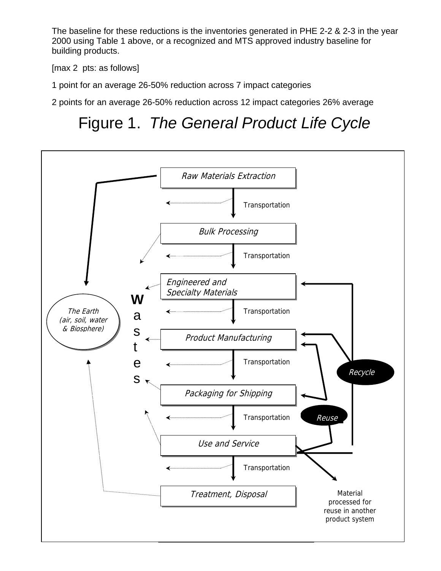The baseline for these reductions is the inventories generated in PHE 2-2 & 2-3 in the year 2000 using Table 1 above, or a recognized and MTS approved industry baseline for building products.

[max 2 pts: as follows]

1 point for an average 26-50% reduction across 7 impact categories

2 points for an average 26-50% reduction across 12 impact categories 26% average

# Figure 1. *The General Product Life Cycle*

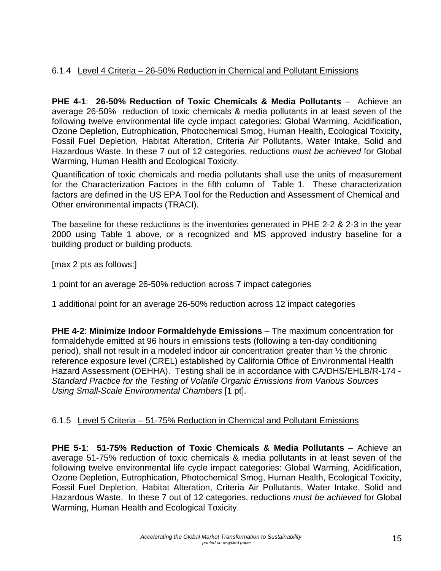## 6.1.4 Level 4 Criteria – 26-50% Reduction in Chemical and Pollutant Emissions

**PHE 4-1**: **26-50% Reduction of Toxic Chemicals & Media Pollutants** – Achieve an average 26-50% reduction of toxic chemicals & media pollutants in at least seven of the following twelve environmental life cycle impact categories: Global Warming, Acidification, Ozone Depletion, Eutrophication, Photochemical Smog, Human Health, Ecological Toxicity, Fossil Fuel Depletion, Habitat Alteration, Criteria Air Pollutants, Water Intake, Solid and Hazardous Waste. In these 7 out of 12 categories, reductions *must be achieved* for Global Warming, Human Health and Ecological Toxicity.

Quantification of toxic chemicals and media pollutants shall use the units of measurement for the Characterization Factors in the fifth column of Table 1. These characterization factors are defined in the US EPA Tool for the Reduction and Assessment of Chemical and Other environmental impacts (TRACI).

The baseline for these reductions is the inventories generated in PHE 2-2 & 2-3 in the year 2000 using Table 1 above, or a recognized and MS approved industry baseline for a building product or building products.

[max 2 pts as follows:]

1 point for an average 26-50% reduction across 7 impact categories

1 additional point for an average 26-50% reduction across 12 impact categories

**PHE 4-2**: **Minimize Indoor Formaldehyde Emissions** – The maximum concentration for formaldehyde emitted at 96 hours in emissions tests (following a ten-day conditioning period), shall not result in a modeled indoor air concentration greater than ½ the chronic reference exposure level (CREL) established by California Office of Environmental Health Hazard Assessment (OEHHA). Testing shall be in accordance with CA/DHS/EHLB/R-174 - *Standard Practice for the Testing of Volatile Organic Emissions from Various Sources Using Small-Scale Environmental Chambers* [1 pt].

#### 6.1.5 Level 5 Criteria – 51-75% Reduction in Chemical and Pollutant Emissions

**PHE 5-1**: **51-75% Reduction of Toxic Chemicals & Media Pollutants** – Achieve an average 51-75% reduction of toxic chemicals & media pollutants in at least seven of the following twelve environmental life cycle impact categories: Global Warming, Acidification, Ozone Depletion, Eutrophication, Photochemical Smog, Human Health, Ecological Toxicity, Fossil Fuel Depletion, Habitat Alteration, Criteria Air Pollutants, Water Intake, Solid and Hazardous Waste. In these 7 out of 12 categories, reductions *must be achieved* for Global Warming, Human Health and Ecological Toxicity.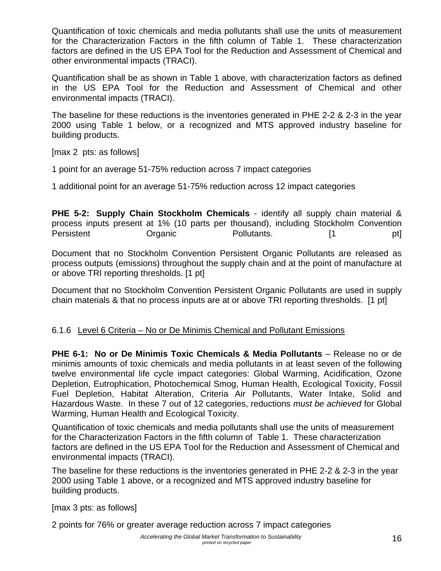Quantification of toxic chemicals and media pollutants shall use the units of measurement for the Characterization Factors in the fifth column of Table 1. These characterization factors are defined in the US EPA Tool for the Reduction and Assessment of Chemical and other environmental impacts (TRACI).

Quantification shall be as shown in Table 1 above, with characterization factors as defined in the US EPA Tool for the Reduction and Assessment of Chemical and other environmental impacts (TRACI).

The baseline for these reductions is the inventories generated in PHE 2-2 & 2-3 in the year 2000 using Table 1 below, or a recognized and MTS approved industry baseline for building products.

[max 2 pts: as follows]

1 point for an average 51-75% reduction across 7 impact categories

1 additional point for an average 51-75% reduction across 12 impact categories

**PHE 5-2: Supply Chain Stockholm Chemicals** - identify all supply chain material & process inputs present at 1% (10 parts per thousand), including Stockholm Convention Persistent **Organic** Pollutants. [1 pt]

Document that no Stockholm Convention Persistent Organic Pollutants are released as process outputs (emissions) throughout the supply chain and at the point of manufacture at or above TRI reporting thresholds. [1 pt]

Document that no Stockholm Convention Persistent Organic Pollutants are used in supply chain materials & that no process inputs are at or above TRI reporting thresholds. [1 pt]

#### 6.1.6 Level 6 Criteria – No or De Minimis Chemical and Pollutant Emissions

**PHE 6-1: No or De Minimis Toxic Chemicals & Media Pollutants** – Release no or de minimis amounts of toxic chemicals and media pollutants in at least seven of the following twelve environmental life cycle impact categories: Global Warming, Acidification, Ozone Depletion, Eutrophication, Photochemical Smog, Human Health, Ecological Toxicity, Fossil Fuel Depletion, Habitat Alteration, Criteria Air Pollutants, Water Intake, Solid and Hazardous Waste. In these 7 out of 12 categories, reductions *must be achieved* for Global Warming, Human Health and Ecological Toxicity.

Quantification of toxic chemicals and media pollutants shall use the units of measurement for the Characterization Factors in the fifth column of Table 1. These characterization factors are defined in the US EPA Tool for the Reduction and Assessment of Chemical and environmental impacts (TRACI).

The baseline for these reductions is the inventories generated in PHE 2-2 & 2-3 in the year 2000 using Table 1 above, or a recognized and MTS approved industry baseline for building products.

[max 3 pts: as follows]

2 points for 76% or greater average reduction across 7 impact categories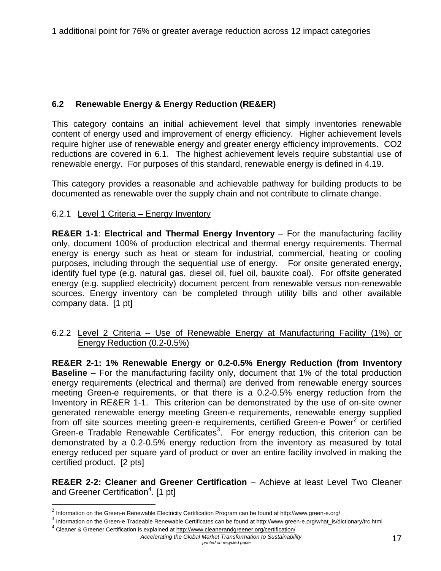## **6.2 Renewable Energy & Energy Reduction (RE&ER)**

This category contains an initial achievement level that simply inventories renewable content of energy used and improvement of energy efficiency. Higher achievement levels require higher use of renewable energy and greater energy efficiency improvements. CO2 reductions are covered in 6.1. The highest achievement levels require substantial use of renewable energy. For purposes of this standard, renewable energy is defined in 4.19.

This category provides a reasonable and achievable pathway for building products to be documented as renewable over the supply chain and not contribute to climate change.

#### 6.2.1 Level 1 Criteria – Energy Inventory

**RE&ER 1-1**: **Electrical and Thermal Energy Inventory** – For the manufacturing facility only, document 100% of production electrical and thermal energy requirements. Thermal energy is energy such as heat or steam for industrial, commercial, heating or cooling purposes, including through the sequential use of energy. For onsite generated energy, identify fuel type (e.g. natural gas, diesel oil, fuel oil, bauxite coal). For offsite generated energy (e.g. supplied electricity) document percent from renewable versus non-renewable sources. Energy inventory can be completed through utility bills and other available company data. [1 pt]

#### 6.2.2 Level 2 Criteria – Use of Renewable Energy at Manufacturing Facility (1%) or Energy Reduction (0.2-0.5%)

**RE&ER 2-1: 1% Renewable Energy or 0.2-0.5% Energy Reduction (from Inventory Baseline** – For the manufacturing facility only, document that 1% of the total production energy requirements (electrical and thermal) are derived from renewable energy sources meeting Green-e requirements, or that there is a 0.2-0.5% energy reduction from the Inventory in RE&ER 1-1. This criterion can be demonstrated by the use of on-site owner generated renewable energy meeting Green-e requirements, renewable energy supplied from off site sources meeting green-e requirements, certified Green-e Power<sup>2</sup> or certified Green-e Tradable Renewable Certificates<sup>3</sup>. For energy reduction, this criterion can be demonstrated by a 0.2-0.5% energy reduction from the inventory as measured by total energy reduced per square yard of product or over an entire facility involved in making the certified product. [2 pts]

**RE&ER 2-2: Cleaner and Greener Certification** – Achieve at least Level Two Cleaner and Greener Certification<sup>4</sup>. [1 pt]

 $\overline{a}$ 

*Accelerating the Global Market Transformation to Sustainability printed on recycled paper* 17

 $2$  Information on the Green-e Renewable Electricity Certification Program can be found at http://www.green-e.org/

 $3$  Information on the Green-e Tradeable Renewable Certificates can be found at http://www.green-e.org/what\_is/dictionary/trc.html

<sup>&</sup>lt;sup>4</sup> Cleaner & Greener Certification is explained at http://www.cleanerandgreener.org/certification/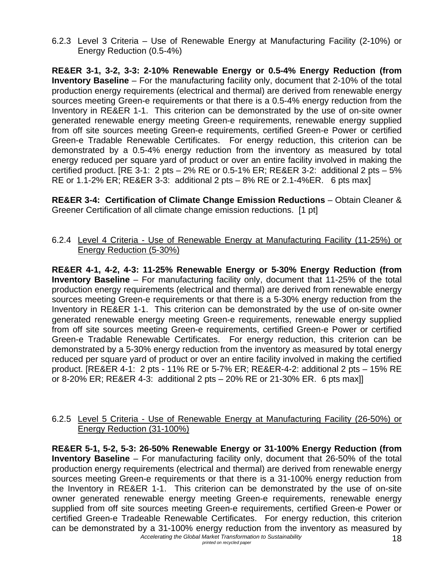6.2.3 Level 3 Criteria – Use of Renewable Energy at Manufacturing Facility (2-10%) or Energy Reduction (0.5-4%)

**RE&ER 3-1, 3-2, 3-3: 2-10% Renewable Energy or 0.5-4% Energy Reduction (from Inventory Baseline** – For the manufacturing facility only, document that 2-10% of the total production energy requirements (electrical and thermal) are derived from renewable energy sources meeting Green-e requirements or that there is a 0.5-4% energy reduction from the Inventory in RE&ER 1-1. This criterion can be demonstrated by the use of on-site owner generated renewable energy meeting Green-e requirements, renewable energy supplied from off site sources meeting Green-e requirements, certified Green-e Power or certified Green-e Tradable Renewable Certificates. For energy reduction, this criterion can be demonstrated by a 0.5-4% energy reduction from the inventory as measured by total energy reduced per square yard of product or over an entire facility involved in making the certified product.  $[RE 3-1: 2 pts - 2% RE 0.5-1% ER; RE&ER 3-2: additional 2 pts - 5%$ RE or 1.1-2% ER; RE&ER 3-3: additional 2 pts – 8% RE or 2.1-4%ER. 6 pts max]

**RE&ER 3-4: Certification of Climate Change Emission Reductions** – Obtain Cleaner & Greener Certification of all climate change emission reductions. [1 pt]

#### 6.2.4 Level 4 Criteria - Use of Renewable Energy at Manufacturing Facility (11-25%) or Energy Reduction (5-30%)

**RE&ER 4-1, 4-2, 4-3: 11-25% Renewable Energy or 5-30% Energy Reduction (from Inventory Baseline** – For manufacturing facility only, document that 11-25% of the total production energy requirements (electrical and thermal) are derived from renewable energy sources meeting Green-e requirements or that there is a 5-30% energy reduction from the Inventory in RE&ER 1-1. This criterion can be demonstrated by the use of on-site owner generated renewable energy meeting Green-e requirements, renewable energy supplied from off site sources meeting Green-e requirements, certified Green-e Power or certified Green-e Tradable Renewable Certificates. For energy reduction, this criterion can be demonstrated by a 5-30% energy reduction from the inventory as measured by total energy reduced per square yard of product or over an entire facility involved in making the certified product. [RE&ER 4-1: 2 pts - 11% RE or 5-7% ER; RE&ER-4-2: additional 2 pts – 15% RE or 8-20% ER; RE&ER 4-3: additional 2 pts – 20% RE or 21-30% ER. 6 pts max]]

#### 6.2.5 Level 5 Criteria - Use of Renewable Energy at Manufacturing Facility (26-50%) or Energy Reduction (31-100%)

**RE&ER 5-1, 5-2, 5-3: 26-50% Renewable Energy or 31-100% Energy Reduction (from Inventory Baseline** – For manufacturing facility only, document that 26-50% of the total production energy requirements (electrical and thermal) are derived from renewable energy sources meeting Green-e requirements or that there is a 31-100% energy reduction from the Inventory in RE&ER 1-1. This criterion can be demonstrated by the use of on-site owner generated renewable energy meeting Green-e requirements, renewable energy supplied from off site sources meeting Green-e requirements, certified Green-e Power or certified Green-e Tradeable Renewable Certificates. For energy reduction, this criterion can be demonstrated by a 31-100% energy reduction from the inventory as measured by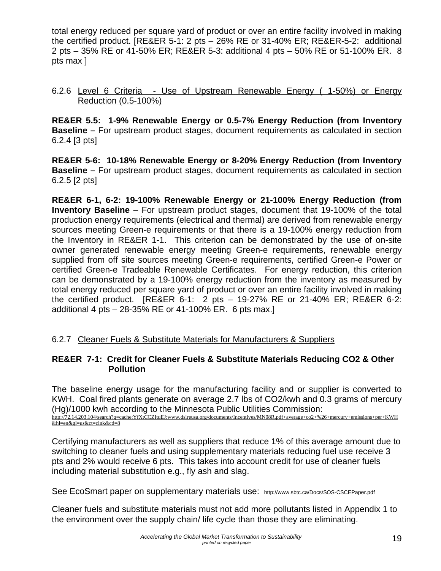total energy reduced per square yard of product or over an entire facility involved in making the certified product. [RE&ER 5-1: 2 pts – 26% RE or 31-40% ER; RE&ER-5-2: additional 2 pts – 35% RE or 41-50% ER; RE&ER 5-3: additional 4 pts – 50% RE or 51-100% ER. 8 pts max ]

#### 6.2.6 Level 6 Criteria - Use of Upstream Renewable Energy ( 1-50%) or Energy Reduction (0.5-100%)

**RE&ER 5.5: 1-9% Renewable Energy or 0.5-7% Energy Reduction (from Inventory Baseline –** For upstream product stages, document requirements as calculated in section 6.2.4 [3 pts]

**RE&ER 5-6: 10-18% Renewable Energy or 8-20% Energy Reduction (from Inventory Baseline –** For upstream product stages, document requirements as calculated in section 6.2.5 [2 pts]

**RE&ER 6-1, 6-2: 19-100% Renewable Energy or 21-100% Energy Reduction (from Inventory Baseline** – For upstream product stages, document that 19-100% of the total production energy requirements (electrical and thermal) are derived from renewable energy sources meeting Green-e requirements or that there is a 19-100% energy reduction from the Inventory in RE&ER 1-1. This criterion can be demonstrated by the use of on-site owner generated renewable energy meeting Green-e requirements, renewable energy supplied from off site sources meeting Green-e requirements, certified Green-e Power or certified Green-e Tradeable Renewable Certificates. For energy reduction, this criterion can be demonstrated by a 19-100% energy reduction from the inventory as measured by total energy reduced per square yard of product or over an entire facility involved in making the certified product. [RE&ER 6-1: 2 pts – 19-27% RE or 21-40% ER; RE&ER 6-2: additional 4 pts – 28-35% RE or 41-100% ER. 6 pts max.]

#### 6.2.7 Cleaner Fuels & Substitute Materials for Manufacturers & Suppliers

#### **RE&ER 7-1: Credit for Cleaner Fuels & Substitute Materials Reducing CO2 & Other Pollution**

The baseline energy usage for the manufacturing facility and or supplier is converted to KWH. Coal fired plants generate on average 2.7 lbs of CO2/kwh and 0.3 grams of mercury (Hg)/1000 kwh according to the Minnesota Public Utilities Commission: http://72.14.203.104/search?q=cache:YfXtCCZItuEJ:www.dsireusa.org/documents/Incentives/MN08R.pdf+average+co2+%26+mercury+emissions+per+KWH &hl=en&gl=us&ct=clnk&cd=8

Certifying manufacturers as well as suppliers that reduce 1% of this average amount due to switching to cleaner fuels and using supplementary materials reducing fuel use receive 3 pts and 2% would receive 6 pts. This takes into account credit for use of cleaner fuels including material substitution e.g., fly ash and slag.

See EcoSmart paper on supplementary materials use: http://www.sbtc.ca/Docs/SOS-CSCEPaper.pdf

Cleaner fuels and substitute materials must not add more pollutants listed in Appendix 1 to the environment over the supply chain/ life cycle than those they are eliminating.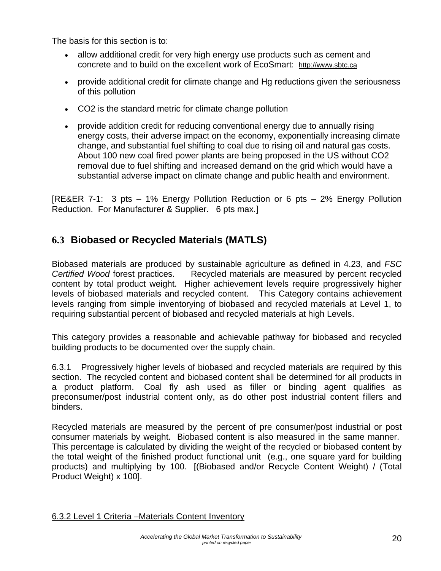The basis for this section is to:

- allow additional credit for very high energy use products such as cement and concrete and to build on the excellent work of EcoSmart: http://www.sbtc.ca
- provide additional credit for climate change and Hg reductions given the seriousness of this pollution
- CO2 is the standard metric for climate change pollution
- provide addition credit for reducing conventional energy due to annually rising energy costs, their adverse impact on the economy, exponentially increasing climate change, and substantial fuel shifting to coal due to rising oil and natural gas costs. About 100 new coal fired power plants are being proposed in the US without CO2 removal due to fuel shifting and increased demand on the grid which would have a substantial adverse impact on climate change and public health and environment.

[RE&ER 7-1: 3 pts – 1% Energy Pollution Reduction or 6 pts – 2% Energy Pollution Reduction. For Manufacturer & Supplier. 6 pts max.]

# **6.3 Biobased or Recycled Materials (MATLS)**

Biobased materials are produced by sustainable agriculture as defined in 4.23, and *FSC Certified Wood* forest practices. Recycled materials are measured by percent recycled content by total product weight. Higher achievement levels require progressively higher levels of biobased materials and recycled content. This Category contains achievement levels ranging from simple inventorying of biobased and recycled materials at Level 1, to requiring substantial percent of biobased and recycled materials at high Levels.

This category provides a reasonable and achievable pathway for biobased and recycled building products to be documented over the supply chain.

6.3.1 Progressively higher levels of biobased and recycled materials are required by this section. The recycled content and biobased content shall be determined for all products in a product platform. Coal fly ash used as filler or binding agent qualifies as preconsumer/post industrial content only, as do other post industrial content fillers and binders.

Recycled materials are measured by the percent of pre consumer/post industrial or post consumer materials by weight. Biobased content is also measured in the same manner. This percentage is calculated by dividing the weight of the recycled or biobased content by the total weight of the finished product functional unit (e.g., one square yard for building products) and multiplying by 100. [(Biobased and/or Recycle Content Weight) / (Total Product Weight) x 100].

#### 6.3.2 Level 1 Criteria –Materials Content Inventory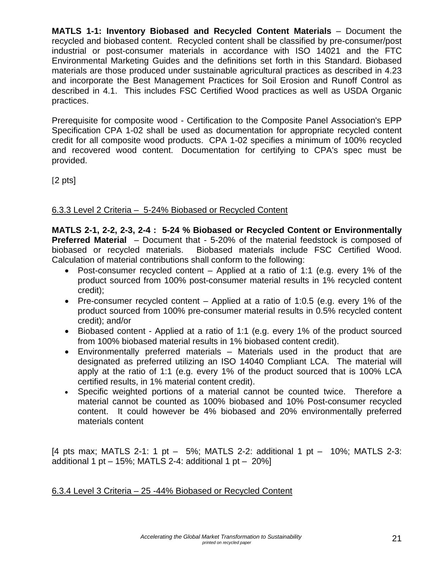**MATLS 1-1: Inventory Biobased and Recycled Content Materials** – Document the recycled and biobased content. Recycled content shall be classified by pre-consumer/post industrial or post-consumer materials in accordance with ISO 14021 and the FTC Environmental Marketing Guides and the definitions set forth in this Standard. Biobased materials are those produced under sustainable agricultural practices as described in 4.23 and incorporate the Best Management Practices for Soil Erosion and Runoff Control as described in 4.1. This includes FSC Certified Wood practices as well as USDA Organic practices.

Prerequisite for composite wood - Certification to the Composite Panel Association's EPP Specification CPA 1-02 shall be used as documentation for appropriate recycled content credit for all composite wood products. CPA 1-02 specifies a minimum of 100% recycled and recovered wood content. Documentation for certifying to CPA's spec must be provided.

 $[2 \text{ pts}]$ 

## 6.3.3 Level 2 Criteria – 5-24% Biobased or Recycled Content

**MATLS 2-1, 2-2, 2-3, 2-4 : 5-24 % Biobased or Recycled Content or Environmentally Preferred Material** – Document that - 5-20% of the material feedstock is composed of biobased or recycled materials. Biobased materials include FSC Certified Wood. Calculation of material contributions shall conform to the following:

- Post-consumer recycled content Applied at a ratio of 1:1 (e.g. every 1% of the product sourced from 100% post-consumer material results in 1% recycled content credit);
- Pre-consumer recycled content Applied at a ratio of 1:0.5 (e.g. every 1% of the product sourced from 100% pre-consumer material results in 0.5% recycled content credit); and/or
- Biobased content Applied at a ratio of 1:1 (e.g. every 1% of the product sourced from 100% biobased material results in 1% biobased content credit).
- Environmentally preferred materials Materials used in the product that are designated as preferred utilizing an ISO 14040 Compliant LCA. The material will apply at the ratio of 1:1 (e.g. every 1% of the product sourced that is 100% LCA certified results, in 1% material content credit).
- Specific weighted portions of a material cannot be counted twice. Therefore a material cannot be counted as 100% biobased and 10% Post-consumer recycled content. It could however be 4% biobased and 20% environmentally preferred materials content

[4 pts max; MATLS 2-1: 1 pt – 5%; MATLS 2-2: additional 1 pt – 10%; MATLS 2-3: additional 1 pt  $-$  15%; MATLS 2-4: additional 1 pt  $-$  20%]

#### 6.3.4 Level 3 Criteria – 25 -44% Biobased or Recycled Content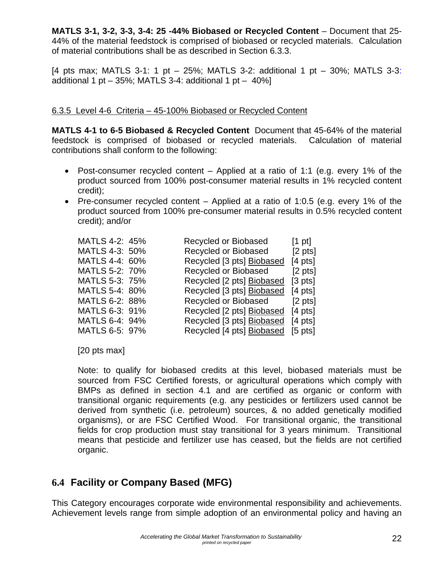**MATLS 3-1, 3-2, 3-3, 3-4: 25 -44% Biobased or Recycled Content** – Document that 25- 44% of the material feedstock is comprised of biobased or recycled materials. Calculation of material contributions shall be as described in Section 6.3.3.

[4 pts max; MATLS 3-1: 1 pt – 25%; MATLS 3-2: additional 1 pt – 30%; MATLS 3-3: additional 1 pt  $-$  35%; MATLS 3-4: additional 1 pt  $-$  40%]

#### 6.3.5 Level 4-6 Criteria – 45-100% Biobased or Recycled Content

**MATLS 4-1 to 6-5 Biobased & Recycled Content** Document that 45-64% of the material feedstock is comprised of biobased or recycled materials. Calculation of material contributions shall conform to the following:

- Post-consumer recycled content Applied at a ratio of 1:1 (e.g. every 1% of the product sourced from 100% post-consumer material results in 1% recycled content credit);
- Pre-consumer recycled content Applied at a ratio of 1:0.5 (e.g. every 1% of the product sourced from 100% pre-consumer material results in 0.5% recycled content credit); and/or

| MATLS 4-2: 45% | Recycled or Biobased      | $[1 \text{ pt}]$              |
|----------------|---------------------------|-------------------------------|
| MATLS 4-3: 50% | Recycled or Biobased      | $[2 \text{ pts}]$             |
| MATLS 4-4: 60% | Recycled [3 pts] Biobased | $[4 \text{ pts}]$             |
| MATLS 5-2: 70% | Recycled or Biobased      | $[2 \text{ pts}]$             |
| MATLS 5-3: 75% | Recycled [2 pts] Biobased | $\lceil 3 \text{ pts} \rceil$ |
| MATLS 5-4: 80% | Recycled [3 pts] Biobased | $[4 \text{ pts}]$             |
| MATLS 6-2: 88% | Recycled or Biobased      | $[2 \; pts]$                  |
| MATLS 6-3: 91% | Recycled [2 pts] Biobased | $[4 \text{ pts}]$             |
| MATLS 6-4: 94% | Recycled [3 pts] Biobased | $[4 \text{ pts}]$             |
| MATLS 6-5: 97% | Recycled [4 pts] Biobased | $[5 \text{ pts}]$             |

[20 pts max]

Note: to qualify for biobased credits at this level, biobased materials must be sourced from FSC Certified forests, or agricultural operations which comply with BMPs as defined in section 4.1 and are certified as organic or conform with transitional organic requirements (e.g. any pesticides or fertilizers used cannot be derived from synthetic (i.e. petroleum) sources, & no added genetically modified organisms), or are FSC Certified Wood. For transitional organic, the transitional fields for crop production must stay transitional for 3 years minimum. Transitional means that pesticide and fertilizer use has ceased, but the fields are not certified organic.

# **6.4 Facility or Company Based (MFG)**

This Category encourages corporate wide environmental responsibility and achievements. Achievement levels range from simple adoption of an environmental policy and having an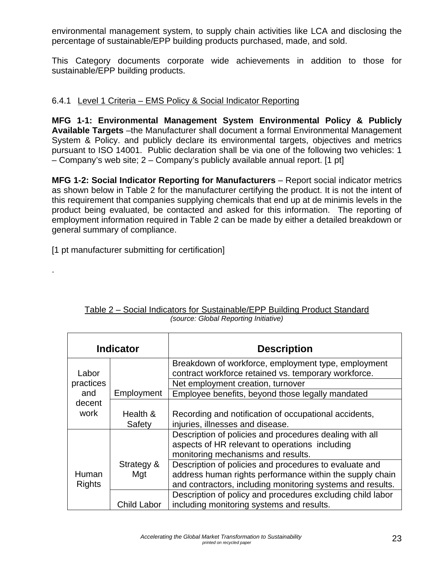environmental management system, to supply chain activities like LCA and disclosing the percentage of sustainable/EPP building products purchased, made, and sold.

This Category documents corporate wide achievements in addition to those for sustainable/EPP building products.

#### 6.4.1 Level 1 Criteria – EMS Policy & Social Indicator Reporting

**MFG 1-1: Environmental Management System Environmental Policy & Publicly**  Available Targets –the Manufacturer shall document a formal Environmental Management System & Policy. and publicly declare its environmental targets, objectives and metrics pursuant to ISO 14001. Public declaration shall be via one of the following two vehicles: 1 – Company's web site; 2 – Company's publicly available annual report. [1 pt]

**MFG 1-2: Social Indicator Reporting for Manufacturers** – Report social indicator metrics as shown below in Table 2 for the manufacturer certifying the product. It is not the intent of this requirement that companies supplying chemicals that end up at de minimis levels in the product being evaluated, be contacted and asked for this information. The reporting of employment information required in Table 2 can be made by either a detailed breakdown or general summary of compliance.

[1 pt manufacturer submitting for certification]

.

| <b>Indicator</b> |                    | <b>Description</b>                                                                                          |
|------------------|--------------------|-------------------------------------------------------------------------------------------------------------|
| Labor            |                    | Breakdown of workforce, employment type, employment<br>contract workforce retained vs. temporary workforce. |
| practices        |                    | Net employment creation, turnover                                                                           |
| and              | Employment         | Employee benefits, beyond those legally mandated                                                            |
| decent           |                    |                                                                                                             |
| work             | Health &           | Recording and notification of occupational accidents,                                                       |
|                  | Safety             | injuries, illnesses and disease.                                                                            |
|                  |                    | Description of policies and procedures dealing with all                                                     |
|                  |                    | aspects of HR relevant to operations including                                                              |
|                  |                    | monitoring mechanisms and results.                                                                          |
|                  | Strategy &         | Description of policies and procedures to evaluate and                                                      |
| Human            | Mgt                | address human rights performance within the supply chain                                                    |
| <b>Rights</b>    |                    | and contractors, including monitoring systems and results.                                                  |
|                  |                    | Description of policy and procedures excluding child labor                                                  |
|                  | <b>Child Labor</b> | including monitoring systems and results.                                                                   |

| Table 2 – Social Indicators for Sustainable/EPP Building Product Standard |
|---------------------------------------------------------------------------|
| (source: Global Reporting Initiative)                                     |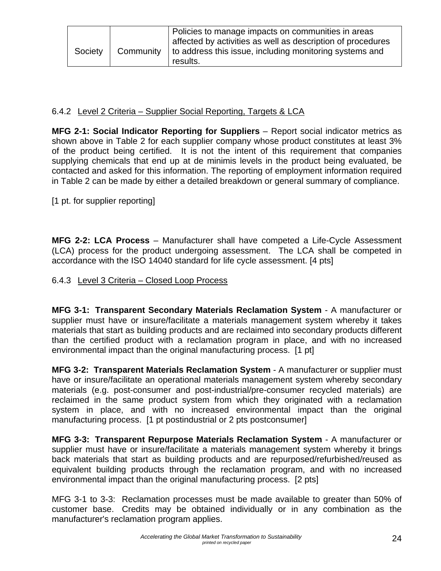| Society | Community | Policies to manage impacts on communities in areas<br>affected by activities as well as description of procedures<br>to address this issue, including monitoring systems and |
|---------|-----------|------------------------------------------------------------------------------------------------------------------------------------------------------------------------------|
|         |           | results.                                                                                                                                                                     |

#### 6.4.2 Level 2 Criteria – Supplier Social Reporting, Targets & LCA

**MFG 2-1: Social Indicator Reporting for Suppliers** – Report social indicator metrics as shown above in Table 2 for each supplier company whose product constitutes at least 3% of the product being certified. It is not the intent of this requirement that companies supplying chemicals that end up at de minimis levels in the product being evaluated, be contacted and asked for this information. The reporting of employment information required in Table 2 can be made by either a detailed breakdown or general summary of compliance.

[1 pt. for supplier reporting]

**MFG 2-2: LCA Process** – Manufacturer shall have competed a Life-Cycle Assessment (LCA) process for the product undergoing assessment. The LCA shall be competed in accordance with the ISO 14040 standard for life cycle assessment. [4 pts]

#### 6.4.3 Level 3 Criteria – Closed Loop Process

**MFG 3-1: Transparent Secondary Materials Reclamation System** - A manufacturer or supplier must have or insure/facilitate a materials management system whereby it takes materials that start as building products and are reclaimed into secondary products different than the certified product with a reclamation program in place, and with no increased environmental impact than the original manufacturing process. [1 pt]

**MFG 3-2: Transparent Materials Reclamation System** - A manufacturer or supplier must have or insure/facilitate an operational materials management system whereby secondary materials (e.g. post-consumer and post-industrial/pre-consumer recycled materials) are reclaimed in the same product system from which they originated with a reclamation system in place, and with no increased environmental impact than the original manufacturing process. [1 pt postindustrial or 2 pts postconsumer]

**MFG 3-3: Transparent Repurpose Materials Reclamation System** - A manufacturer or supplier must have or insure/facilitate a materials management system whereby it brings back materials that start as building products and are repurposed/refurbished/reused as equivalent building products through the reclamation program, and with no increased environmental impact than the original manufacturing process. [2 pts]

MFG 3-1 to 3-3: Reclamation processes must be made available to greater than 50% of customer base. Credits may be obtained individually or in any combination as the manufacturer's reclamation program applies.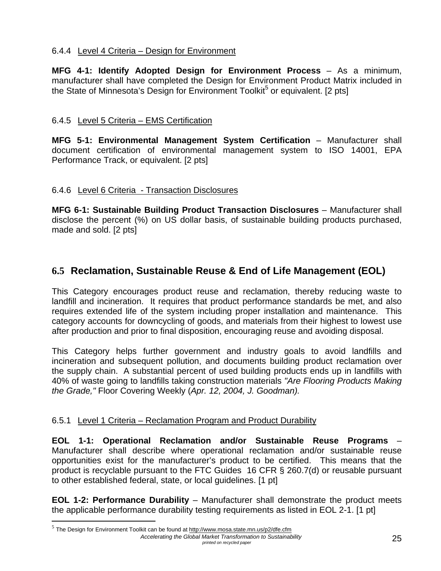### 6.4.4 Level 4 Criteria – Design for Environment

**MFG 4-1: Identify Adopted Design for Environment Process** – As a minimum, manufacturer shall have completed the Design for Environment Product Matrix included in the State of Minnesota's Design for Environment Toolkit<sup>5</sup> or equivalent. [2 pts]

### 6.4.5 Level 5 Criteria – EMS Certification

**MFG 5-1: Environmental Management System Certification** – Manufacturer shall document certification of environmental management system to ISO 14001, EPA Performance Track, or equivalent. [2 pts]

#### 6.4.6 Level 6 Criteria - Transaction Disclosures

**MFG 6-1: Sustainable Building Product Transaction Disclosures** – Manufacturer shall disclose the percent (%) on US dollar basis, of sustainable building products purchased, made and sold. [2 pts]

# **6.5 Reclamation, Sustainable Reuse & End of Life Management (EOL)**

This Category encourages product reuse and reclamation, thereby reducing waste to landfill and incineration. It requires that product performance standards be met, and also requires extended life of the system including proper installation and maintenance.This category accounts for downcycling of goods, and materials from their highest to lowest use after production and prior to final disposition, encouraging reuse and avoiding disposal.

This Category helps further government and industry goals to avoid landfills and incineration and subsequent pollution, and documents building product reclamation over the supply chain. A substantial percent of used building products ends up in landfills with 40% of waste going to landfills taking construction materials *"Are Flooring Products Making the Grade,"* Floor Covering Weekly (*Apr. 12, 2004, J. Goodman).*

#### 6.5.1 Level 1 Criteria – Reclamation Program and Product Durability

**EOL 1-1: Operational Reclamation and/or Sustainable Reuse Programs** – Manufacturer shall describe where operational reclamation and/or sustainable reuse opportunities exist for the manufacturer's product to be certified. This means that the product is recyclable pursuant to the FTC Guides 16 CFR § 260.7(d) or reusable pursuant to other established federal, state, or local guidelines. [1 pt]

**EOL 1-2: Performance Durability** – Manufacturer shall demonstrate the product meets the applicable performance durability testing requirements as listed in EOL 2-1. [1 pt]

1

*Accelerating the Global Market Transformation to Sustainability printed on recycled paper* 25  $^5$  The Design for Environment Toolkit can be found at http://www.mosa.state.mn.us/p2/dfe.cfm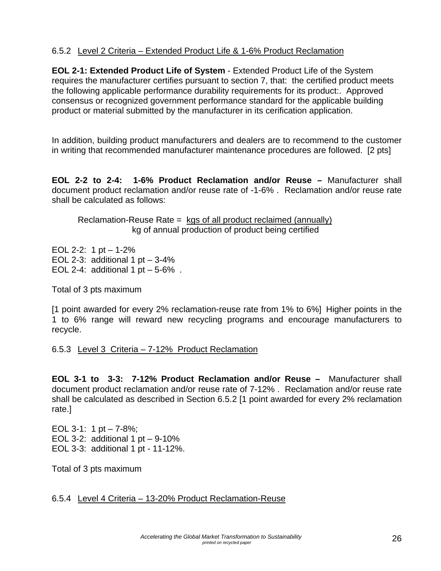#### 6.5.2 Level 2 Criteria – Extended Product Life & 1-6% Product Reclamation

**EOL 2-1: Extended Product Life of System** - Extended Product Life of the System requires the manufacturer certifies pursuant to section 7, that: the certified product meets the following applicable performance durability requirements for its product:. Approved consensus or recognized government performance standard for the applicable building product or material submitted by the manufacturer in its cerification application.

In addition, building product manufacturers and dealers are to recommend to the customer in writing that recommended manufacturer maintenance procedures are followed. [2 pts]

**EOL 2-2 to 2-4: 1-6% Product Reclamation and/or Reuse –** Manufacturer shall document product reclamation and/or reuse rate of -1-6% . Reclamation and/or reuse rate shall be calculated as follows:

Reclamation-Reuse Rate = kgs of all product reclaimed (annually) kg of annual production of product being certified

EOL 2-2: 1 pt  $-1-2\%$ EOL 2-3: additional 1 pt  $-3-4%$ EOL 2-4: additional 1 pt  $-5.6\%$ .

Total of 3 pts maximum

[1 point awarded for every 2% reclamation-reuse rate from 1% to 6%] Higher points in the 1 to 6% range will reward new recycling programs and encourage manufacturers to recycle.

6.5.3 Level 3 Criteria – 7-12% Product Reclamation

**EOL 3-1 to 3-3: 7-12% Product Reclamation and/or Reuse –** Manufacturer shall document product reclamation and/or reuse rate of 7-12% . Reclamation and/or reuse rate shall be calculated as described in Section 6.5.2 [1 point awarded for every 2% reclamation rate.]

EOL 3-1: 1 pt  $-7 - 8\%$ : EOL 3-2: additional 1 pt  $-9-10\%$ EOL 3-3: additional 1 pt - 11-12%.

Total of 3 pts maximum

#### 6.5.4 Level 4 Criteria – 13-20% Product Reclamation-Reuse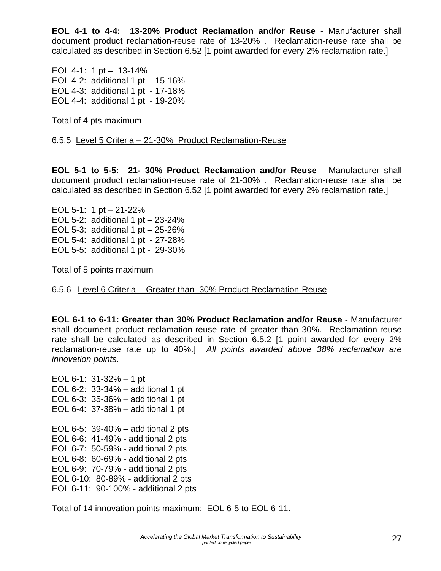**EOL 4-1 to 4-4: 13-20% Product Reclamation and/or Reuse** - Manufacturer shall document product reclamation-reuse rate of 13-20% . Reclamation-reuse rate shall be calculated as described in Section 6.52 [1 point awarded for every 2% reclamation rate.]

EOL 4-1: 1 pt – 13-14% EOL 4-2: additional 1 pt - 15-16% EOL 4-3: additional 1 pt - 17-18% EOL 4-4: additional 1 pt - 19-20%

Total of 4 pts maximum

6.5.5 Level 5 Criteria – 21-30% Product Reclamation-Reuse

**EOL 5-1 to 5-5: 21- 30% Product Reclamation and/or Reuse** - Manufacturer shall document product reclamation-reuse rate of 21-30% . Reclamation-reuse rate shall be calculated as described in Section 6.52 [1 point awarded for every 2% reclamation rate.]

EOL 5-1: 1 pt – 21-22% EOL 5-2: additional 1 pt – 23-24% EOL 5-3: additional 1 pt  $-25-26%$ EOL 5-4: additional 1 pt - 27-28% EOL 5-5: additional 1 pt - 29-30%

Total of 5 points maximum

6.5.6 Level 6 Criteria - Greater than 30% Product Reclamation-Reuse

**EOL 6-1 to 6-11: Greater than 30% Product Reclamation and/or Reuse** - Manufacturer shall document product reclamation-reuse rate of greater than 30%. Reclamation-reuse rate shall be calculated as described in Section 6.5.2 [1 point awarded for every 2% reclamation-reuse rate up to 40%.] *All points awarded above 38% reclamation are innovation points*.

EOL 6-1: 31-32% – 1 pt EOL 6-2: 33-34% – additional 1 pt EOL 6-3: 35-36% – additional 1 pt EOL 6-4: 37-38% – additional 1 pt EOL 6-5: 39-40% – additional 2 pts EOL 6-6: 41-49% - additional 2 pts EOL 6-7: 50-59% - additional 2 pts EOL 6-8: 60-69% - additional 2 pts EOL 6-9: 70-79% - additional 2 pts EOL 6-10: 80-89% - additional 2 pts EOL 6-11: 90-100% - additional 2 pts

Total of 14 innovation points maximum: EOL 6-5 to EOL 6-11.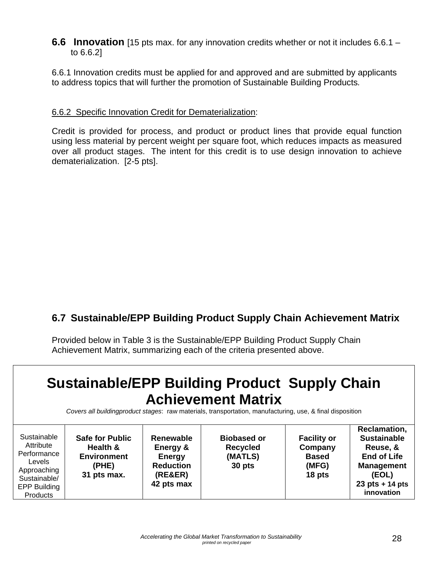**6.6 Innovation** [15 pts max. for any innovation credits whether or not it includes 6.6.1 – to 6.6.2]

6.6.1 Innovation credits must be applied for and approved and are submitted by applicants to address topics that will further the promotion of Sustainable Building Products*.*

#### 6.6.2 Specific Innovation Credit for Dematerialization:

Credit is provided for process, and product or product lines that provide equal function using less material by percent weight per square foot, which reduces impacts as measured over all product stages. The intent for this credit is to use design innovation to achieve dematerialization. [2-5 pts].

# **6.7 Sustainable/EPP Building Product Supply Chain Achievement Matrix**

Provided below in Table 3 is the Sustainable/EPP Building Product Supply Chain Achievement Matrix, summarizing each of the criteria presented above.

# **Sustainable/EPP Building Product Supply Chain Achievement Matrix**

*Covers all buildingproduct stages*: raw materials, transportation, manufacturing, use, & final disposition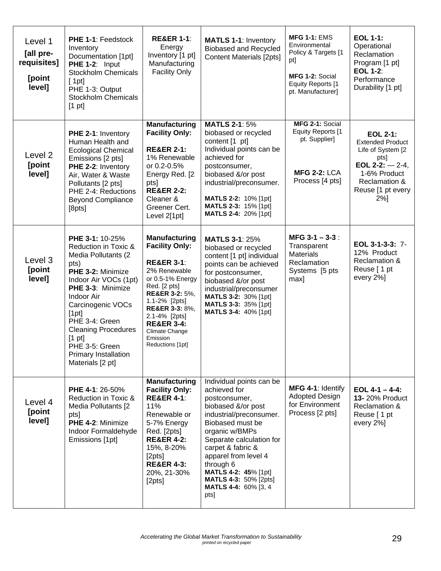| Level 1<br>[all pre-<br>requisites]<br>[point<br>level] | PHE 1-1: Feedstock<br>Inventory<br>Documentation [1pt]<br>PHE 1-2: Input<br><b>Stockholm Chemicals</b><br>[1pt]<br>PHE 1-3: Output<br><b>Stockholm Chemicals</b><br>$[1 \text{ pt}]$                                                                                                                                           | <b>RE&amp;ER 1-1:</b><br>Energy<br>Inventory [1 pt]<br>Manufacturing<br><b>Facility Only</b>                                                                                                                                                                                                             | <b>MATLS 1-1: Inventory</b><br><b>Biobased and Recycled</b><br><b>Content Materials [2pts]</b>                                                                                                                                                                                                                                 | <b>MFG 1-1: EMS</b><br>Environmental<br>Policy & Targets [1<br>pt]<br>MFG 1-2: Social<br>Equity Reports [1<br>pt. Manufacturer] | <b>EOL 1-1:</b><br>Operational<br>Reclamation<br>Program [1 pt]<br><b>EOL 1-2:</b><br>Performance<br>Durability [1 pt]                                                  |
|---------------------------------------------------------|--------------------------------------------------------------------------------------------------------------------------------------------------------------------------------------------------------------------------------------------------------------------------------------------------------------------------------|----------------------------------------------------------------------------------------------------------------------------------------------------------------------------------------------------------------------------------------------------------------------------------------------------------|--------------------------------------------------------------------------------------------------------------------------------------------------------------------------------------------------------------------------------------------------------------------------------------------------------------------------------|---------------------------------------------------------------------------------------------------------------------------------|-------------------------------------------------------------------------------------------------------------------------------------------------------------------------|
| Level <sub>2</sub><br>[point<br>level]                  | PHE 2-1: Inventory<br>Human Health and<br><b>Ecological Chemical</b><br>Emissions [2 pts]<br>PHE 2-2: Inventory<br>Air, Water & Waste<br>Pollutants [2 pts]<br>PHE 2-4: Reductions<br><b>Beyond Compliance</b><br>[8pts]                                                                                                       | Manufacturing<br><b>Facility Only:</b><br><b>RE&amp;ER 2-1:</b><br>1% Renewable<br>or 0.2-0.5%<br>Energy Red. [2<br>pts<br><b>RE&amp;ER 2-2:</b><br>Cleaner &<br>Greener Cert.<br>Level 2[1pt]                                                                                                           | <b>MATLS 2-1: 5%</b><br>biobased or recycled<br>content [1 pt]<br>Individual points can be<br>achieved for<br>postconsumer,<br>biobased &/or post<br>industrial/preconsumer.<br><b>MATLS 2-2: 10% [1pt]</b><br><b>MATLS 2-3: 15% [1pt]</b><br>MATLS 2-4: 20% [1pt]                                                             | MFG 2-1: Social<br><b>Equity Reports [1</b><br>pt. Supplier]<br><b>MFG 2-2: LCA</b><br>Process [4 pts]                          | <b>EOL 2-1:</b><br><b>Extended Product</b><br>Life of System [2<br>pts]<br>EOL 2-2: $-$ 2-4,<br>1-6% Product<br><b>Reclamation &amp;</b><br>Reuse [1 pt every<br>$2%$ ] |
| Level 3<br>[point<br>level]                             | PHE 3-1: 10-25%<br>Reduction in Toxic &<br>Media Pollutants (2<br>pts)<br>PHE 3-2: Minimize<br>Indoor Air VOCs (1pt)<br>PHE 3-3: Minimize<br><b>Indoor Air</b><br>Carcinogenic VOCs<br>[1pt]<br>PHE 3-4: Green<br><b>Cleaning Procedures</b><br>$[1 \text{ pt}]$<br>PHE 3-5: Green<br>Primary Installation<br>Materials [2 pt] | <b>Manufacturing</b><br><b>Facility Only:</b><br><b>RE&amp;ER 3-1:</b><br>2% Renewable<br>or 0.5-1% Energy<br>Red. [2 pts]<br><b>RE&amp;ER 3-2: 5%,</b><br>1.1-2% [2pts]<br><b>RE&amp;ER 3-3: 8%.</b><br>2.1-4% [2pts]<br><b>RE&amp;ER 3-4:</b><br><b>Climate Change</b><br>Emission<br>Reductions [1pt] | <b>MATLS 3-1: 25%</b><br>biobased or recycled<br>content [1 pt] individual<br>points can be achieved<br>for postconsumer,<br>biobased &/or post<br>industrial/preconsumer<br>MATLS 3-2: 30% [1pt]<br>MATLS 3-3: 35% [1pt]<br><b>MATLS 3-4: 40% [1pt]</b>                                                                       | MFG $3-1 - 3-3$ :<br>Transparent<br><b>Materials</b><br>Reclamation<br>Systems [5 pts]<br>max]                                  | EOL 3-1-3-3: 7-<br>12% Product<br><b>Reclamation &amp;</b><br>Reuse [1 pt<br>every 2%]                                                                                  |
| Level 4<br>[point<br>level]                             | <b>PHE 4-1: 26-50%</b><br>Reduction in Toxic &<br>Media Pollutants [2<br>pts]<br>PHE 4-2: Minimize<br>Indoor Formaldehyde<br>Emissions [1pt]                                                                                                                                                                                   | <b>Manufacturing</b><br><b>Facility Only:</b><br><b>RE&amp;ER 4-1:</b><br>11%<br>Renewable or<br>5-7% Energy<br>Red. [2pts]<br><b>RE&amp;ER 4-2:</b><br>15%, 8-20%<br>[2pts]<br><b>RE&amp;ER 4-3:</b><br>20%, 21-30%<br>[2pts]                                                                           | Individual points can be<br>achieved for<br>postconsumer,<br>biobased &/or post<br>industrial/preconsumer.<br>Biobased must be<br>organic w/BMPs<br>Separate calculation for<br>carpet & fabric &<br>apparel from level 4<br>through 6<br>MATLS 4-2: 45% [1pt]<br><b>MATLS 4-3: 50% [2pts]</b><br>MATLS 4-4: 60% [3, 4<br>pts] | MFG 4-1: Identify<br><b>Adopted Design</b><br>for Environment<br>Process [2 pts]                                                | $EOL 4-1 - 4-4$ :<br><b>13-20% Product</b><br>Reclamation &<br>Reuse [1 pt<br>every 2%]                                                                                 |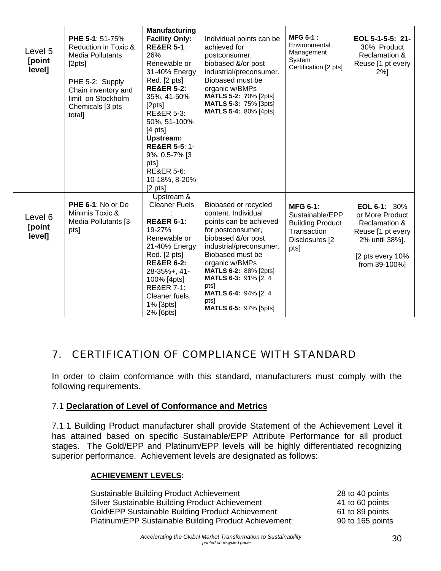| Level 5<br>[point<br>level] | <b>PHE 5-1: 51-75%</b><br>Reduction in Toxic &<br><b>Media Pollutants</b><br>[2pts]<br>PHE 5-2: Supply<br>Chain inventory and<br>limit on Stockholm<br>Chemicals [3 pts<br>total] | Manufacturing<br><b>Facility Only:</b><br><b>RE&amp;ER 5-1:</b><br>26%<br>Renewable or<br>31-40% Energy<br>Red. [2 pts]<br><b>RE&amp;ER 5-2:</b><br>35%, 41-50%<br>[2pts]<br><b>RE&amp;ER 5-3:</b><br>50%, 51-100%<br>$[4 \text{ pts}]$<br>Upstream:<br><b>RE&amp;ER 5-5: 1-</b><br>9%, 0.5-7% [3<br>pts]<br><b>RE&amp;ER 5-6:</b><br>10-18%, 8-20%<br>$[2 \text{ pts}]$ | Individual points can be<br>achieved for<br>postconsumer,<br>biobased &/or post<br>industrial/preconsumer.<br>Biobased must be<br>organic w/BMPs<br><b>MATLS 5-2: 70% [2pts]</b><br><b>MATLS 5-3: 75% [3pts]</b><br><b>MATLS 5-4: 80% [4pts]</b>                                                                   | <b>MFG 5-1:</b><br>Environmental<br>Management<br>System<br>Certification [2 pts]                      | EOL 5-1-5-5: 21-<br>30% Product<br><b>Reclamation &amp;</b><br>Reuse [1 pt every<br>$2%$ ]                                      |
|-----------------------------|-----------------------------------------------------------------------------------------------------------------------------------------------------------------------------------|--------------------------------------------------------------------------------------------------------------------------------------------------------------------------------------------------------------------------------------------------------------------------------------------------------------------------------------------------------------------------|--------------------------------------------------------------------------------------------------------------------------------------------------------------------------------------------------------------------------------------------------------------------------------------------------------------------|--------------------------------------------------------------------------------------------------------|---------------------------------------------------------------------------------------------------------------------------------|
| Level 6<br>[point<br>level] | <b>PHE 6-1: No or De</b><br>Minimis Toxic &<br>Media Pollutants [3<br>pts]                                                                                                        | Upstream &<br><b>Cleaner Fuels</b><br><b>RE&amp;ER 6-1:</b><br>19-27%<br>Renewable or<br>21-40% Energy<br>Red. [2 pts]<br><b>RE&amp;ER 6-2:</b><br>$28 - 35% + 41$<br>100% [4pts]<br><b>RE&amp;ER 7-1:</b><br>Cleaner fuels.<br>1% [3pts]<br>2% [6pts]                                                                                                                   | Biobased or recycled<br>content. Individual<br>points can be achieved<br>for postconsumer,<br>biobased &/or post<br>industrial/preconsumer.<br>Biobased must be<br>organic w/BMPs<br><b>MATLS 6-2: 88% [2pts]</b><br>MATLS 6-3: 91% [2, 4<br>pts]<br>MATLS 6-4: 94% [2, 4]<br>pts]<br><b>MATLS 6-5: 97% [5pts]</b> | <b>MFG 6-1:</b><br>Sustainable/EPP<br><b>Building Product</b><br>Transaction<br>Disclosures [2<br>pts] | EOL 6-1: $30\%$<br>or More Product<br>Reclamation &<br>Reuse [1 pt every<br>2% until 38%].<br>[2 pts every 10%<br>from 39-100%] |

# 7. CERTIFICATION OF COMPLIANCE WITH STANDARD

In order to claim conformance with this standard, manufacturers must comply with the following requirements.

#### 7.1 **Declaration of Level of Conformance and Metrics**

7.1.1 Building Product manufacturer shall provide Statement of the Achievement Level it has attained based on specific Sustainable/EPP Attribute Performance for all product stages. The Gold/EPP and Platinum/EPP levels will be highly differentiated recognizing superior performance. Achievement levels are designated as follows:

#### **ACHIEVEMENT LEVELS:**

| Sustainable Building Product Achievement               | 28 to 40 points  |
|--------------------------------------------------------|------------------|
| Silver Sustainable Building Product Achievement        | 41 to 60 points  |
| Gold\EPP Sustainable Building Product Achievement      | 61 to 89 points  |
| Platinum\EPP Sustainable Building Product Achievement: | 90 to 165 points |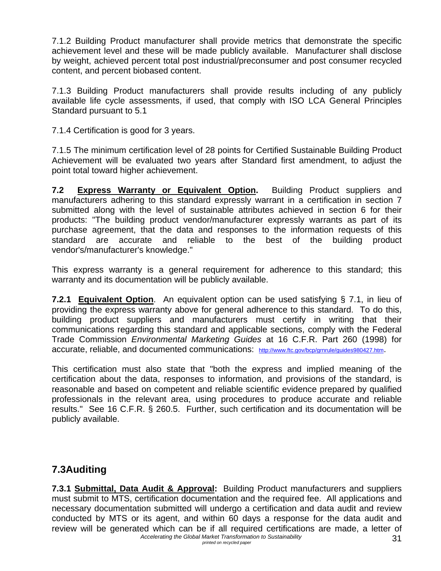7.1.2 Building Product manufacturer shall provide metrics that demonstrate the specific achievement level and these will be made publicly available. Manufacturer shall disclose by weight, achieved percent total post industrial/preconsumer and post consumer recycled content, and percent biobased content.

7.1.3 Building Product manufacturers shall provide results including of any publicly available life cycle assessments, if used, that comply with ISO LCA General Principles Standard pursuant to 5.1

7.1.4 Certification is good for 3 years.

7.1.5 The minimum certification level of 28 points for Certified Sustainable Building Product Achievement will be evaluated two years after Standard first amendment, to adjust the point total toward higher achievement.

**7.2 Express Warranty or Equivalent Option.** Building Product suppliers and manufacturers adhering to this standard expressly warrant in a certification in section 7 submitted along with the level of sustainable attributes achieved in section 6 for their products: "The building product vendor/manufacturer expressly warrants as part of its purchase agreement, that the data and responses to the information requests of this standard are accurate and reliable to the best of the building product vendor's/manufacturer's knowledge."

This express warranty is a general requirement for adherence to this standard; this warranty and its documentation will be publicly available.

**7.2.1 Equivalent Option**. An equivalent option can be used satisfying § 7.1, in lieu of providing the express warranty above for general adherence to this standard. To do this, building product suppliers and manufacturers must certify in writing that their communications regarding this standard and applicable sections, comply with the Federal Trade Commission *Environmental Marketing Guides* at 16 C.F.R. Part 260 (1998) for accurate, reliable, and documented communications: http://www.ftc.gov/bcp/grnrule/guides980427.htm.

This certification must also state that "both the express and implied meaning of the certification about the data, responses to information, and provisions of the standard, is reasonable and based on competent and reliable scientific evidence prepared by qualified professionals in the relevant area, using procedures to produce accurate and reliable results." See 16 C.F.R. § 260.5. Further, such certification and its documentation will be publicly available.

## **7.3Auditing**

Accelerating the Global Market Transformation to Sustainability **31**<br>*printed on recycled paper* **7.3.1 Submittal, Data Audit & Approval:** Building Product manufacturers and suppliers must submit to MTS, certification documentation and the required fee. All applications and necessary documentation submitted will undergo a certification and data audit and review conducted by MTS or its agent, and within 60 days a response for the data audit and review will be generated which can be if all required certifications are made, a letter of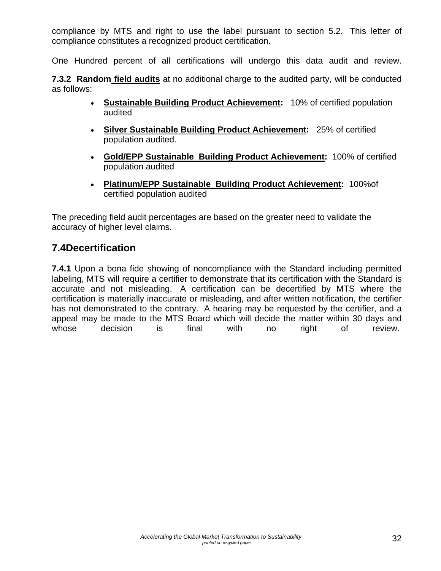compliance by MTS and right to use the label pursuant to section 5.2. This letter of compliance constitutes a recognized product certification.

One Hundred percent of all certifications will undergo this data audit and review.

**7.3.2 Random field audits** at no additional charge to the audited party, will be conducted as follows:

- **Sustainable Building Product Achievement:** 10% of certified population audited
- **Silver Sustainable Building Product Achievement:** 25% of certified population audited.
- **Gold/EPP Sustainable Building Product Achievement:** 100% of certified population audited
- **Platinum/EPP Sustainable Building Product Achievement:** 100%of certified population audited

The preceding field audit percentages are based on the greater need to validate the accuracy of higher level claims.

## **7.4Decertification**

**7.4.1** Upon a bona fide showing of noncompliance with the Standard including permitted labeling, MTS will require a certifier to demonstrate that its certification with the Standard is accurate and not misleading. A certification can be decertified by MTS where the certification is materially inaccurate or misleading, and after written notification, the certifier has not demonstrated to the contrary. A hearing may be requested by the certifier, and a appeal may be made to the MTS Board which will decide the matter within 30 days and whose decision is final with no right of review.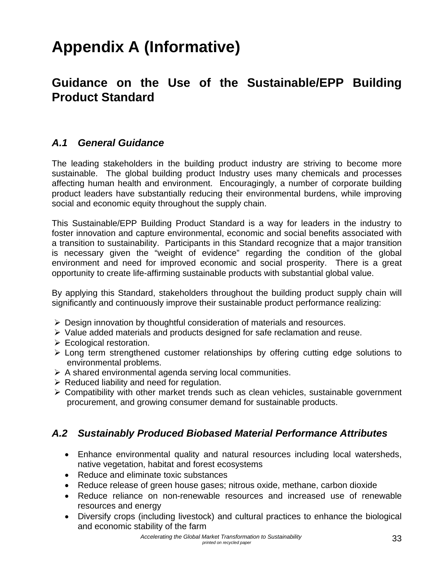# **Appendix A (Informative)**

# **Guidance on the Use of the Sustainable/EPP Building Product Standard**

## *A.1 General Guidance*

The leading stakeholders in the building product industry are striving to become more sustainable. The global building product Industry uses many chemicals and processes affecting human health and environment. Encouragingly, a number of corporate building product leaders have substantially reducing their environmental burdens, while improving social and economic equity throughout the supply chain.

This Sustainable/EPP Building Product Standard is a way for leaders in the industry to foster innovation and capture environmental, economic and social benefits associated with a transition to sustainability. Participants in this Standard recognize that a major transition is necessary given the "weight of evidence" regarding the condition of the global environment and need for improved economic and social prosperity. There is a great opportunity to create life-affirming sustainable products with substantial global value.

By applying this Standard, stakeholders throughout the building product supply chain will significantly and continuously improve their sustainable product performance realizing:

- $\triangleright$  Design innovation by thoughtful consideration of materials and resources.
- ¾ Value added materials and products designed for safe reclamation and reuse.
- $\triangleright$  Ecological restoration.
- $\triangleright$  Long term strengthened customer relationships by offering cutting edge solutions to environmental problems.
- $\triangleright$  A shared environmental agenda serving local communities.
- $\triangleright$  Reduced liability and need for regulation.
- $\triangleright$  Compatibility with other market trends such as clean vehicles, sustainable government procurement, and growing consumer demand for sustainable products.

## *A.2 Sustainably Produced Biobased Material Performance Attributes*

- Enhance environmental quality and natural resources including local watersheds, native vegetation, habitat and forest ecosystems
- Reduce and eliminate toxic substances
- Reduce release of green house gases; nitrous oxide, methane, carbon dioxide
- Reduce reliance on non-renewable resources and increased use of renewable resources and energy
- Diversify crops (including livestock) and cultural practices to enhance the biological and economic stability of the farm